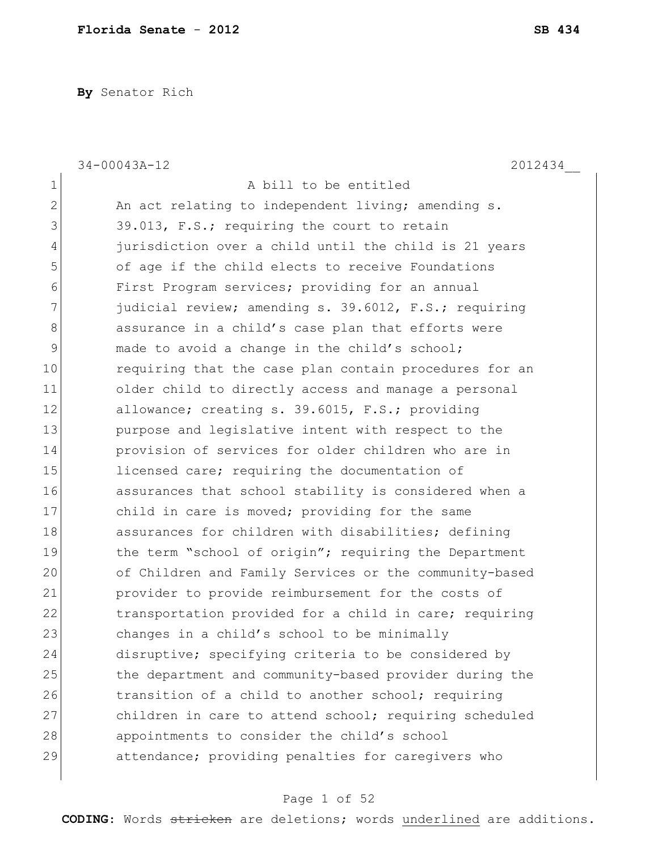**By** Senator Rich

|              | 2012434<br>$34 - 00043A - 12$                          |
|--------------|--------------------------------------------------------|
| 1            | A bill to be entitled                                  |
| $\mathbf{2}$ | An act relating to independent living; amending s.     |
| 3            | 39.013, F.S.; requiring the court to retain            |
| 4            | jurisdiction over a child until the child is 21 years  |
| 5            | of age if the child elects to receive Foundations      |
| 6            | First Program services; providing for an annual        |
| 7            | judicial review; amending s. 39.6012, F.S.; requiring  |
| 8            | assurance in a child's case plan that efforts were     |
| 9            | made to avoid a change in the child's school;          |
| 10           | requiring that the case plan contain procedures for an |
| 11           | older child to directly access and manage a personal   |
| 12           | allowance; creating s. 39.6015, F.S.; providing        |
| 13           | purpose and legislative intent with respect to the     |
| 14           | provision of services for older children who are in    |
| 15           | licensed care; requiring the documentation of          |
| 16           | assurances that school stability is considered when a  |
| 17           | child in care is moved; providing for the same         |
| 18           | assurances for children with disabilities; defining    |
| 19           | the term "school of origin"; requiring the Department  |
| 20           | of Children and Family Services or the community-based |
| 21           | provider to provide reimbursement for the costs of     |
| 22           | transportation provided for a child in care; requiring |
| 23           | changes in a child's school to be minimally            |
| 24           | disruptive; specifying criteria to be considered by    |
| 25           | the department and community-based provider during the |
| 26           | transition of a child to another school; requiring     |
| 27           | children in care to attend school; requiring scheduled |
| 28           | appointments to consider the child's school            |
| 29           | attendance; providing penalties for caregivers who     |
|              |                                                        |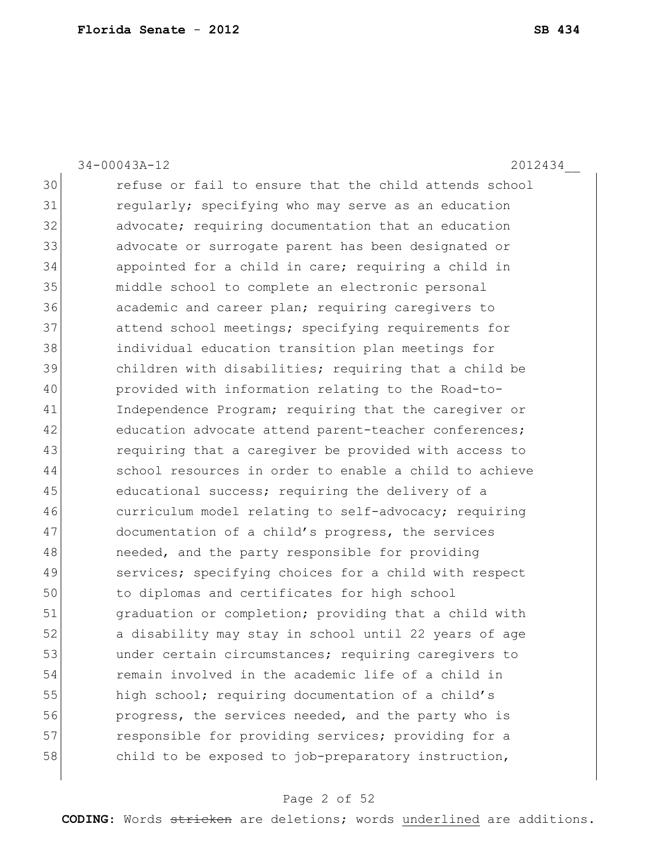34-00043A-12 2012434\_\_

30 refuse or fail to ensure that the child attends school 31 regularly; specifying who may serve as an education 32 advocate; requiring documentation that an education 33 advocate or surrogate parent has been designated or 34 appointed for a child in care; requiring a child in 35 middle school to complete an electronic personal 36 academic and career plan; requiring caregivers to 37 attend school meetings; specifying requirements for 38 individual education transition plan meetings for 39 children with disabilities; requiring that a child be 40 provided with information relating to the Road-to-41 Independence Program; requiring that the caregiver or 42 education advocate attend parent-teacher conferences; 43 requiring that a caregiver be provided with access to 44 school resources in order to enable a child to achieve 45 educational success; requiring the delivery of a 46 curriculum model relating to self-advocacy; requiring 47 documentation of a child's progress, the services 48 **needed, and the party responsible for providing** 49 services; specifying choices for a child with respect 50 to diplomas and certificates for high school 51 **graduation or completion;** providing that a child with 52 a disability may stay in school until 22 years of age 53 under certain circumstances; requiring caregivers to 54 remain involved in the academic life of a child in 55 high school; requiring documentation of a child's 56 **progress, the services needed, and the party who is** 57 responsible for providing services; providing for a 58 child to be exposed to job-preparatory instruction,

### Page 2 of 52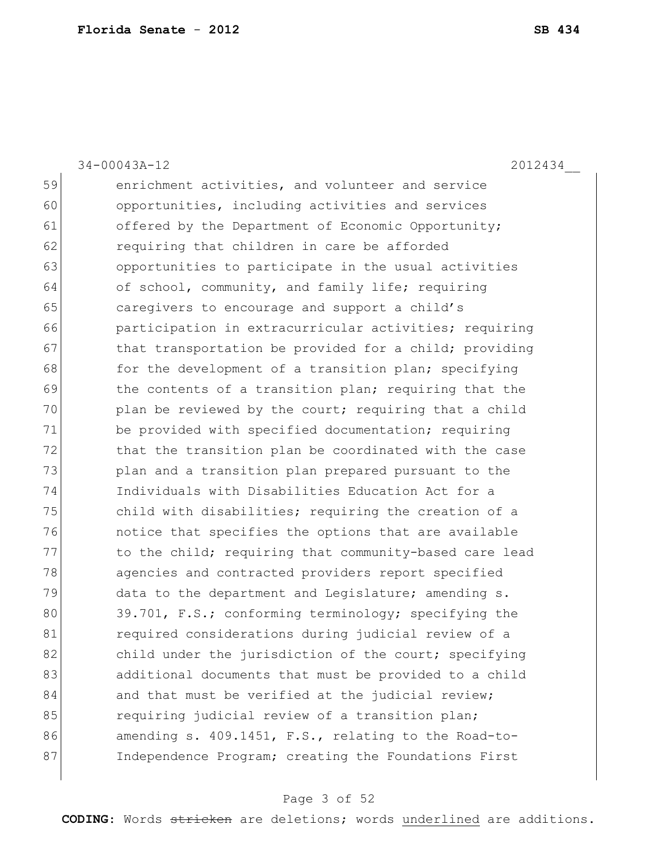34-00043A-12 2012434\_\_

59 enrichment activities, and volunteer and service 60 opportunities, including activities and services 61 offered by the Department of Economic Opportunity; 62 requiring that children in care be afforded 63 opportunities to participate in the usual activities 64 of school, community, and family life; requiring 65 caregivers to encourage and support a child's 66 **participation in extracurricular activities;** requiring 67 bthat transportation be provided for a child; providing 68 for the development of a transition plan; specifying 69 the contents of a transition plan; requiring that the 70 plan be reviewed by the court; requiring that a child 71 be provided with specified documentation; requiring 72 that the transition plan be coordinated with the case 73 plan and a transition plan prepared pursuant to the 74 Individuals with Disabilities Education Act for a 75 child with disabilities; requiring the creation of a 76 notice that specifies the options that are available 77 to the child; requiring that community-based care lead 78 agencies and contracted providers report specified 79 data to the department and Legislature; amending s. 80 39.701, F.S.; conforming terminology; specifying the 81 **1** required considerations during judicial review of a 82 child under the jurisdiction of the court; specifying 83 additional documents that must be provided to a child 84 and that must be verified at the judicial review; 85 **requiring judicial review of a transition plan;** 86 amending s. 409.1451, F.S., relating to the Road-to-87 Independence Program; creating the Foundations First

### Page 3 of 52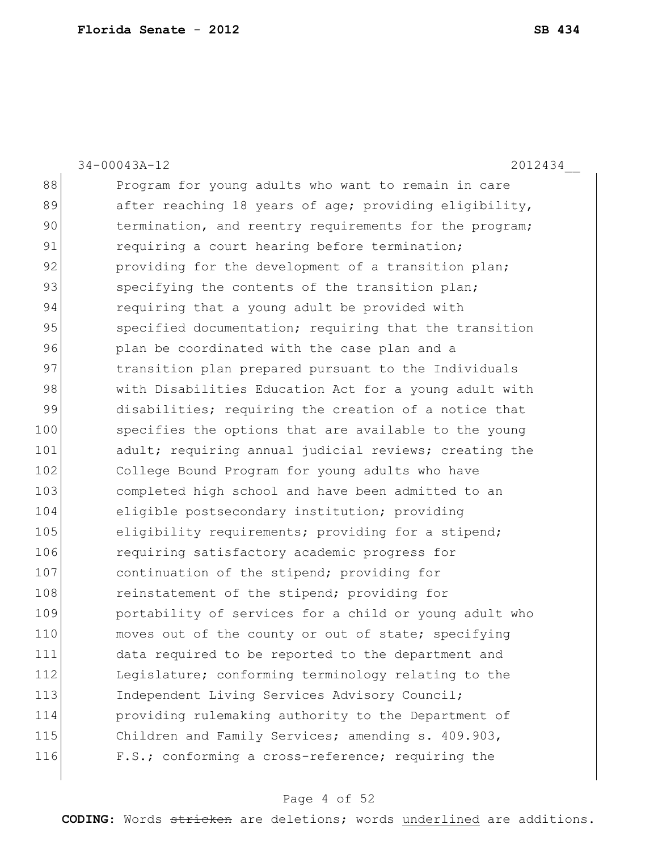34-00043A-12 2012434\_\_ 88 Program for young adults who want to remain in care 89 after reaching 18 years of age; providing eligibility, 90 termination, and reentry requirements for the program; 91 requiring a court hearing before termination; 92 providing for the development of a transition plan; 93 specifying the contents of the transition plan; 94 requiring that a young adult be provided with 95 specified documentation; requiring that the transition 96 plan be coordinated with the case plan and a 97 transition plan prepared pursuant to the Individuals 98 with Disabilities Education Act for a young adult with 99 disabilities; requiring the creation of a notice that 100 specifies the options that are available to the young 101 adult; requiring annual judicial reviews; creating the 102 College Bound Program for young adults who have 103 completed high school and have been admitted to an 104 eligible postsecondary institution; providing 105 eligibility requirements; providing for a stipend; 106 requiring satisfactory academic progress for 107 continuation of the stipend; providing for 108 reinstatement of the stipend; providing for 109 **portability of services for a child or young adult who** 110 moves out of the county or out of state; specifying 111 data required to be reported to the department and 112 Legislature; conforming terminology relating to the 113 Independent Living Services Advisory Council; 114 providing rulemaking authority to the Department of 115 Children and Family Services; amending s. 409.903, 116 F.S.; conforming a cross-reference; requiring the

#### Page 4 of 52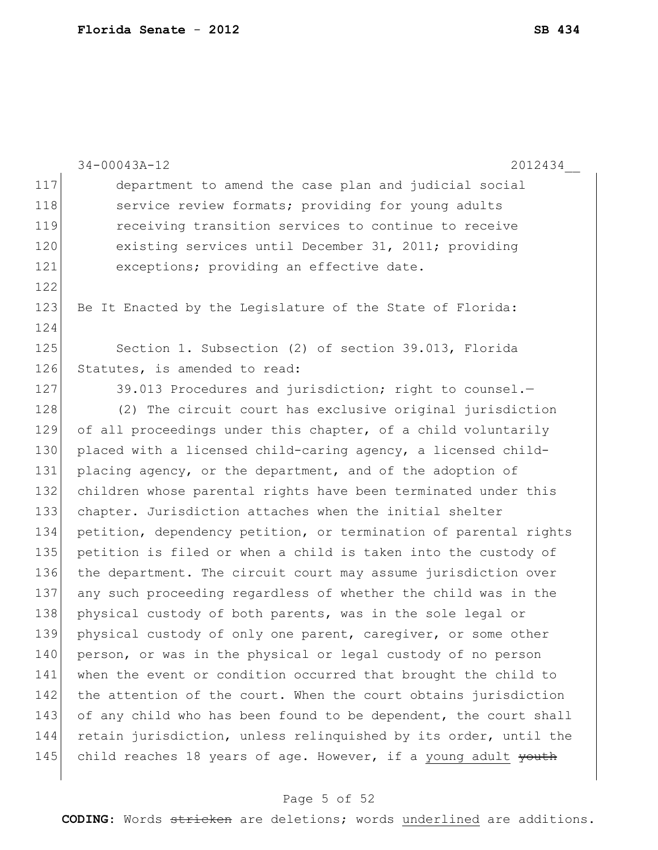|     | 2012434<br>$34 - 00043A - 12$                                    |
|-----|------------------------------------------------------------------|
| 117 | department to amend the case plan and judicial social            |
| 118 | service review formats; providing for young adults               |
| 119 | receiving transition services to continue to receive             |
| 120 | existing services until December 31, 2011; providing             |
| 121 | exceptions; providing an effective date.                         |
| 122 |                                                                  |
| 123 | Be It Enacted by the Legislature of the State of Florida:        |
| 124 |                                                                  |
| 125 | Section 1. Subsection (2) of section 39.013, Florida             |
| 126 | Statutes, is amended to read:                                    |
| 127 | 39.013 Procedures and jurisdiction; right to counsel.-           |
| 128 | (2) The circuit court has exclusive original jurisdiction        |
| 129 | of all proceedings under this chapter, of a child voluntarily    |
| 130 | placed with a licensed child-caring agency, a licensed child-    |
| 131 | placing agency, or the department, and of the adoption of        |
| 132 | children whose parental rights have been terminated under this   |
| 133 | chapter. Jurisdiction attaches when the initial shelter          |
| 134 | petition, dependency petition, or termination of parental rights |
| 135 | petition is filed or when a child is taken into the custody of   |
| 136 | the department. The circuit court may assume jurisdiction over   |
| 137 | any such proceeding regardless of whether the child was in the   |
| 138 | physical custody of both parents, was in the sole legal or       |
| 139 | physical custody of only one parent, caregiver, or some other    |
| 140 | person, or was in the physical or legal custody of no person     |
| 141 | when the event or condition occurred that brought the child to   |
| 142 | the attention of the court. When the court obtains jurisdiction  |
| 143 | of any child who has been found to be dependent, the court shall |
| 144 | retain jurisdiction, unless relinquished by its order, until the |
| 145 | child reaches 18 years of age. However, if a young adult youth   |
|     |                                                                  |

# Page 5 of 52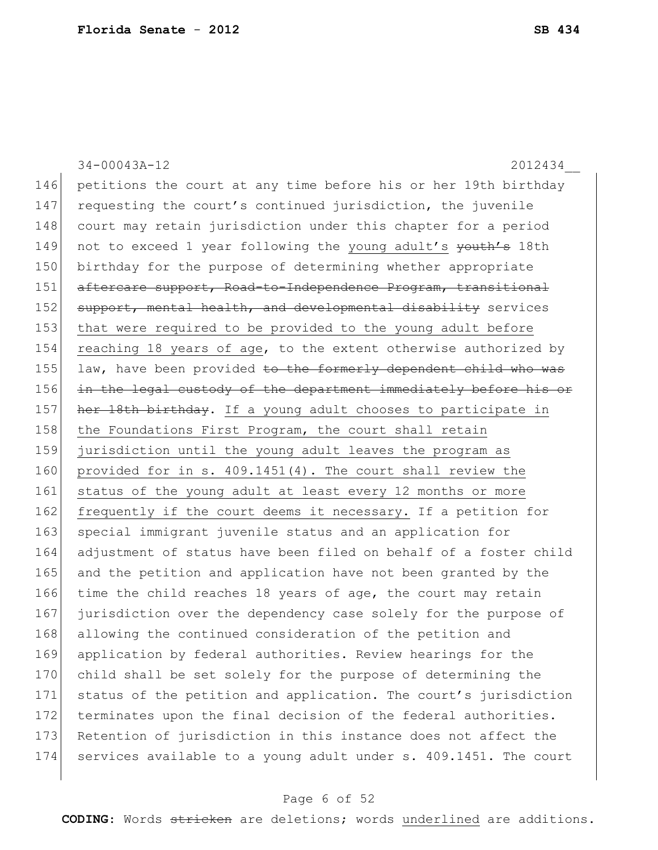34-00043A-12 2012434\_\_ 146 petitions the court at any time before his or her 19th birthday 147 requesting the court's continued jurisdiction, the juvenile 148 court may retain jurisdiction under this chapter for a period 149 not to exceed 1 year following the young adult's youth's 18th 150 birthday for the purpose of determining whether appropriate 151 aftercare support, Road-to-Independence Program, transitional 152 support, mental health, and developmental disability services 153 that were required to be provided to the young adult before 154 reaching 18 years of age, to the extent otherwise authorized by 155 law, have been provided to the formerly dependent child who was 156 in the legal custody of the department immediately before his or 157 her 18th birthday. If a young adult chooses to participate in 158 the Foundations First Program, the court shall retain 159 jurisdiction until the young adult leaves the program as 160 provided for in s. 409.1451(4). The court shall review the 161 status of the young adult at least every 12 months or more 162 frequently if the court deems it necessary. If a petition for 163 special immigrant juvenile status and an application for 164 adjustment of status have been filed on behalf of a foster child 165 and the petition and application have not been granted by the 166 time the child reaches 18 years of age, the court may retain 167 jurisdiction over the dependency case solely for the purpose of 168 allowing the continued consideration of the petition and 169 application by federal authorities. Review hearings for the 170 child shall be set solely for the purpose of determining the 171 status of the petition and application. The court's jurisdiction 172 terminates upon the final decision of the federal authorities. 173 Retention of jurisdiction in this instance does not affect the 174 services available to a young adult under s. 409.1451. The court

### Page 6 of 52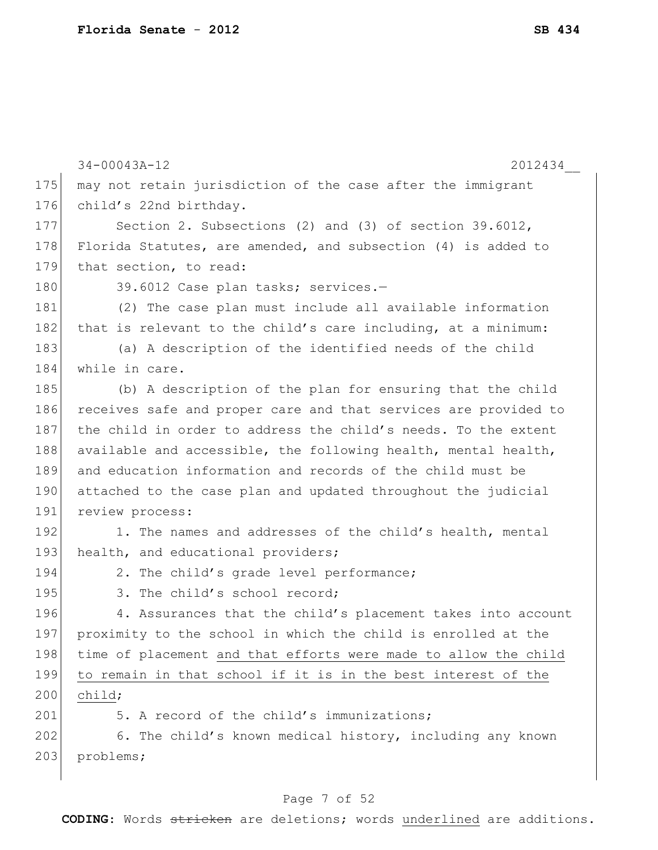|     | $34 - 00043A - 12$<br>2012434                                   |
|-----|-----------------------------------------------------------------|
| 175 | may not retain jurisdiction of the case after the immigrant     |
| 176 | child's 22nd birthday.                                          |
| 177 | Section 2. Subsections (2) and (3) of section $39.6012$ ,       |
| 178 | Florida Statutes, are amended, and subsection (4) is added to   |
| 179 | that section, to read:                                          |
| 180 | 39.6012 Case plan tasks; services.-                             |
| 181 | (2) The case plan must include all available information        |
| 182 | that is relevant to the child's care including, at a minimum:   |
| 183 | (a) A description of the identified needs of the child          |
| 184 | while in care.                                                  |
| 185 | (b) A description of the plan for ensuring that the child       |
| 186 | receives safe and proper care and that services are provided to |
| 187 | the child in order to address the child's needs. To the extent  |
| 188 | available and accessible, the following health, mental health,  |
| 189 | and education information and records of the child must be      |
| 190 | attached to the case plan and updated throughout the judicial   |
| 191 | review process:                                                 |
| 192 | 1. The names and addresses of the child's health, mental        |
| 193 | health, and educational providers;                              |
| 194 | 2. The child's grade level performance;                         |
| 195 | 3. The child's school record;                                   |
| 196 | 4. Assurances that the child's placement takes into account     |
| 197 | proximity to the school in which the child is enrolled at the   |
| 198 | time of placement and that efforts were made to allow the child |
| 199 | to remain in that school if it is in the best interest of the   |
| 200 | child;                                                          |
| 201 | 5. A record of the child's immunizations;                       |
| 202 | 6. The child's known medical history, including any known       |
| 203 | problems;                                                       |
|     |                                                                 |

# Page 7 of 52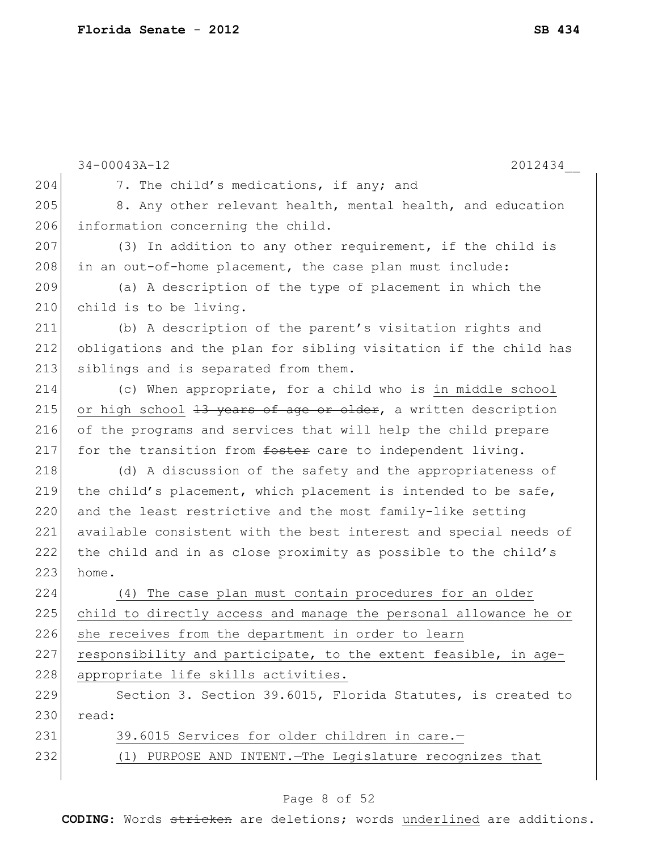|     | $34 - 00043A - 12$<br>2012434                                    |
|-----|------------------------------------------------------------------|
| 204 | 7. The child's medications, if any; and                          |
| 205 | 8. Any other relevant health, mental health, and education       |
| 206 | information concerning the child.                                |
| 207 | (3) In addition to any other requirement, if the child is        |
| 208 | in an out-of-home placement, the case plan must include:         |
| 209 | (a) A description of the type of placement in which the          |
| 210 | child is to be living.                                           |
| 211 | (b) A description of the parent's visitation rights and          |
| 212 | obligations and the plan for sibling visitation if the child has |
| 213 | siblings and is separated from them.                             |
| 214 | (c) When appropriate, for a child who is in middle school        |
| 215 | or high school 13 years of age or older, a written description   |
| 216 | of the programs and services that will help the child prepare    |
| 217 | for the transition from foster care to independent living.       |
| 218 | (d) A discussion of the safety and the appropriateness of        |
| 219 | the child's placement, which placement is intended to be safe,   |
| 220 | and the least restrictive and the most family-like setting       |
| 221 | available consistent with the best interest and special needs of |
| 222 | the child and in as close proximity as possible to the child's   |
| 223 | home.                                                            |
| 224 | The case plan must contain procedures for an older<br>(4)        |
| 225 | child to directly access and manage the personal allowance he or |
| 226 | she receives from the department in order to learn               |
| 227 | responsibility and participate, to the extent feasible, in age-  |
| 228 | appropriate life skills activities.                              |
| 229 | Section 3. Section 39.6015, Florida Statutes, is created to      |
| 230 | read:                                                            |
| 231 | 39.6015 Services for older children in care.-                    |
| 232 | (1) PURPOSE AND INTENT. The Legislature recognizes that          |
|     |                                                                  |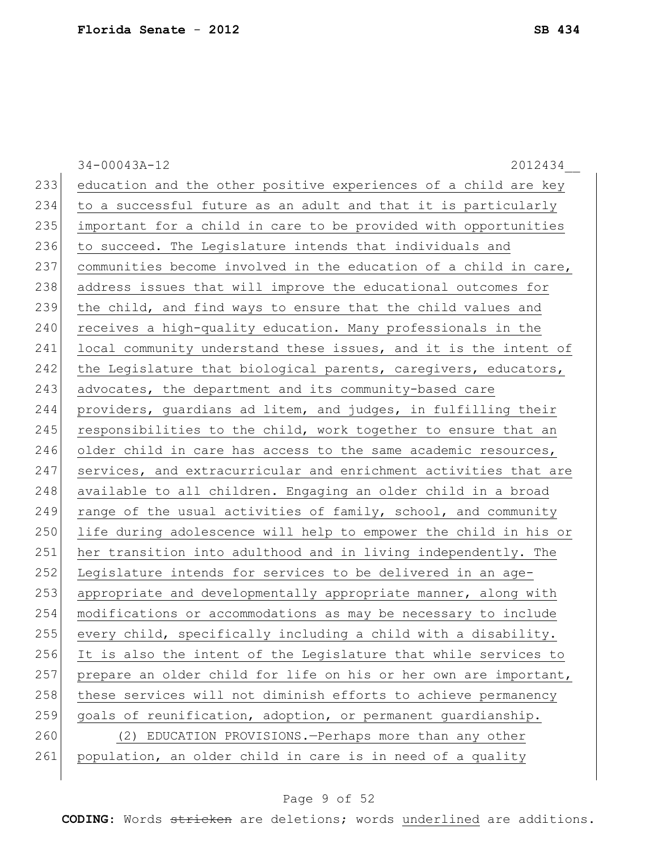34-00043A-12 2012434\_\_ 233 education and the other positive experiences of a child are key 234 to a successful future as an adult and that it is particularly 235 important for a child in care to be provided with opportunities 236 to succeed. The Legislature intends that individuals and 237 communities become involved in the education of a child in care, 238 address issues that will improve the educational outcomes for 239 the child, and find ways to ensure that the child values and 240 receives a high-quality education. Many professionals in the 241 local community understand these issues, and it is the intent of 242 the Legislature that biological parents, caregivers, educators, 243 advocates, the department and its community-based care 244 providers, guardians ad litem, and judges, in fulfilling their 245 responsibilities to the child, work together to ensure that an 246 older child in care has access to the same academic resources, 247 services, and extracurricular and enrichment activities that are 248 available to all children. Engaging an older child in a broad 249 range of the usual activities of family, school, and community 250 life during adolescence will help to empower the child in his or 251 her transition into adulthood and in living independently. The 252 Legislature intends for services to be delivered in an age-253 appropriate and developmentally appropriate manner, along with 254 modifications or accommodations as may be necessary to include  $255$  every child, specifically including a child with a disability. 256 It is also the intent of the Legislature that while services to 257 prepare an older child for life on his or her own are important, 258 these services will not diminish efforts to achieve permanency 259 goals of reunification, adoption, or permanent guardianship. 260 (2) EDUCATION PROVISIONS. - Perhaps more than any other 261 population, an older child in care is in need of a quality

### Page 9 of 52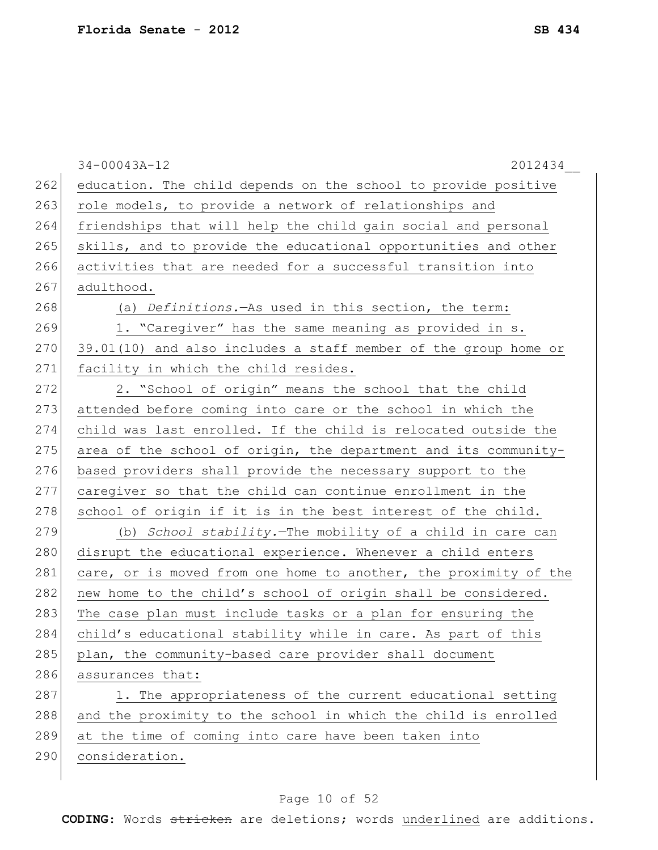|     | $34 - 00043A - 12$<br>2012434                                    |
|-----|------------------------------------------------------------------|
| 262 | education. The child depends on the school to provide positive   |
| 263 | role models, to provide a network of relationships and           |
| 264 | friendships that will help the child gain social and personal    |
| 265 | skills, and to provide the educational opportunities and other   |
| 266 | activities that are needed for a successful transition into      |
| 267 | adulthood.                                                       |
| 268 | (a) Definitions. - As used in this section, the term:            |
| 269 | 1. "Caregiver" has the same meaning as provided in s.            |
| 270 | 39.01(10) and also includes a staff member of the group home or  |
| 271 | facility in which the child resides.                             |
| 272 | 2. "School of origin" means the school that the child            |
| 273 | attended before coming into care or the school in which the      |
| 274 | child was last enrolled. If the child is relocated outside the   |
| 275 | area of the school of origin, the department and its community-  |
| 276 | based providers shall provide the necessary support to the       |
| 277 | caregiver so that the child can continue enrollment in the       |
| 278 | school of origin if it is in the best interest of the child.     |
| 279 | (b) School stability. The mobility of a child in care can        |
| 280 | disrupt the educational experience. Whenever a child enters      |
| 281 | care, or is moved from one home to another, the proximity of the |
| 282 | new home to the child's school of origin shall be considered.    |
| 283 | The case plan must include tasks or a plan for ensuring the      |
| 284 | child's educational stability while in care. As part of this     |
| 285 | plan, the community-based care provider shall document           |
| 286 | assurances that:                                                 |
| 287 | 1. The appropriateness of the current educational setting        |
| 288 | and the proximity to the school in which the child is enrolled   |
| 289 | at the time of coming into care have been taken into             |
| 290 | consideration.                                                   |
|     |                                                                  |

# Page 10 of 52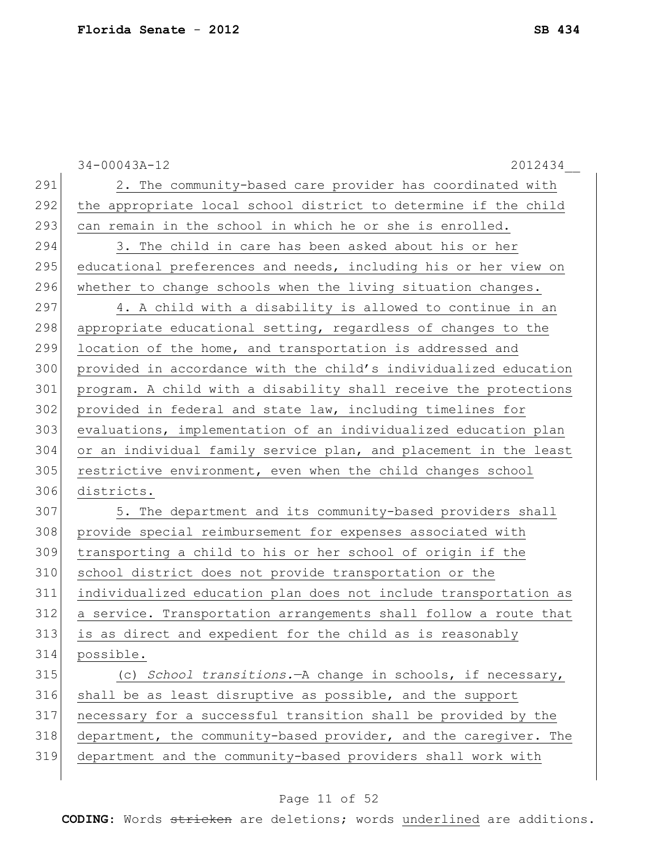|     | $34 - 00043A - 12$<br>2012434                                    |
|-----|------------------------------------------------------------------|
| 291 | 2. The community-based care provider has coordinated with        |
| 292 | the appropriate local school district to determine if the child  |
| 293 | can remain in the school in which he or she is enrolled.         |
| 294 | 3. The child in care has been asked about his or her             |
| 295 | educational preferences and needs, including his or her view on  |
| 296 | whether to change schools when the living situation changes.     |
| 297 | 4. A child with a disability is allowed to continue in an        |
| 298 | appropriate educational setting, regardless of changes to the    |
| 299 | location of the home, and transportation is addressed and        |
| 300 | provided in accordance with the child's individualized education |
| 301 | program. A child with a disability shall receive the protections |
| 302 | provided in federal and state law, including timelines for       |
| 303 | evaluations, implementation of an individualized education plan  |
| 304 | or an individual family service plan, and placement in the least |
| 305 | restrictive environment, even when the child changes school      |
| 306 | districts.                                                       |
| 307 | 5. The department and its community-based providers shall        |
| 308 | provide special reimbursement for expenses associated with       |
| 309 | transporting a child to his or her school of origin if the       |
| 310 | school district does not provide transportation or the           |
| 311 | individualized education plan does not include transportation as |
| 312 | a service. Transportation arrangements shall follow a route that |
| 313 | is as direct and expedient for the child as is reasonably        |
| 314 | possible.                                                        |
| 315 | (c) School transitions. - A change in schools, if necessary,     |
| 316 | shall be as least disruptive as possible, and the support        |
| 317 | necessary for a successful transition shall be provided by the   |
| 318 | department, the community-based provider, and the caregiver. The |
| 319 | department and the community-based providers shall work with     |
|     |                                                                  |

# Page 11 of 52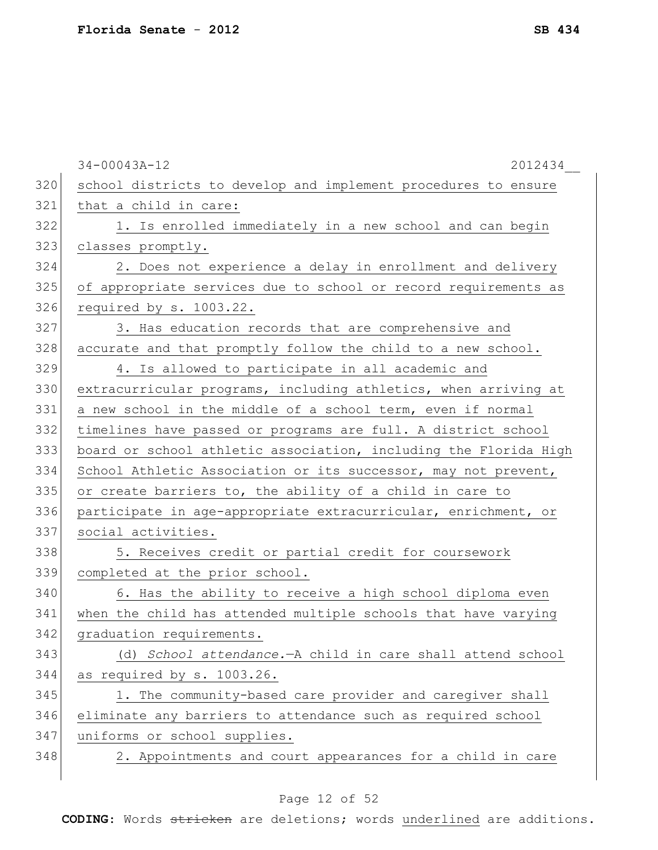|     | $34 - 00043A - 12$<br>2012434                                    |
|-----|------------------------------------------------------------------|
| 320 | school districts to develop and implement procedures to ensure   |
| 321 | that a child in care:                                            |
| 322 | 1. Is enrolled immediately in a new school and can begin         |
| 323 | classes promptly.                                                |
| 324 | 2. Does not experience a delay in enrollment and delivery        |
| 325 | of appropriate services due to school or record requirements as  |
| 326 | required by s. 1003.22.                                          |
| 327 | 3. Has education records that are comprehensive and              |
| 328 | accurate and that promptly follow the child to a new school.     |
| 329 | 4. Is allowed to participate in all academic and                 |
| 330 | extracurricular programs, including athletics, when arriving at  |
| 331 | a new school in the middle of a school term, even if normal      |
| 332 | timelines have passed or programs are full. A district school    |
| 333 | board or school athletic association, including the Florida High |
| 334 | School Athletic Association or its successor, may not prevent,   |
| 335 | or create barriers to, the ability of a child in care to         |
| 336 | participate in age-appropriate extracurricular, enrichment, or   |
| 337 | social activities.                                               |
| 338 | 5. Receives credit or partial credit for coursework              |
| 339 | completed at the prior school.                                   |
| 340 | 6. Has the ability to receive a high school diploma even         |
| 341 | when the child has attended multiple schools that have varying   |
| 342 | graduation requirements.                                         |
| 343 | (d) School attendance. - A child in care shall attend school     |
| 344 | as required by s. 1003.26.                                       |
| 345 | 1. The community-based care provider and caregiver shall         |
| 346 | eliminate any barriers to attendance such as required school     |
| 347 | uniforms or school supplies.                                     |
| 348 | 2. Appointments and court appearances for a child in care        |
|     |                                                                  |

# Page 12 of 52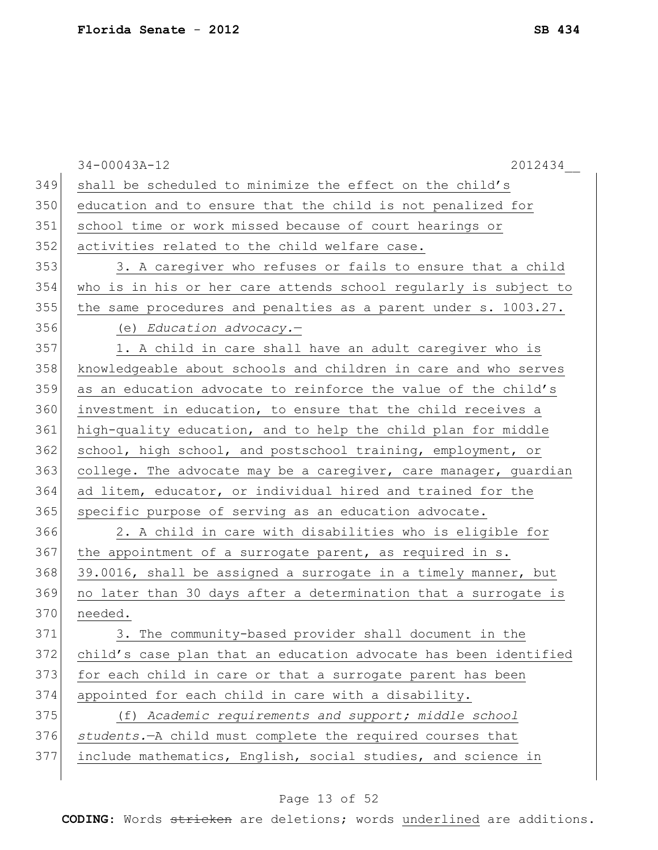|     | 2012434<br>$34 - 00043A - 12$                                    |
|-----|------------------------------------------------------------------|
| 349 | shall be scheduled to minimize the effect on the child's         |
| 350 | education and to ensure that the child is not penalized for      |
| 351 | school time or work missed because of court hearings or          |
| 352 | activities related to the child welfare case.                    |
| 353 | 3. A caregiver who refuses or fails to ensure that a child       |
| 354 | who is in his or her care attends school regularly is subject to |
| 355 | the same procedures and penalties as a parent under s. 1003.27.  |
| 356 | (e) Education advocacy.-                                         |
| 357 | 1. A child in care shall have an adult caregiver who is          |
| 358 | knowledgeable about schools and children in care and who serves  |
| 359 | as an education advocate to reinforce the value of the child's   |
| 360 | investment in education, to ensure that the child receives a     |
| 361 | high-quality education, and to help the child plan for middle    |
| 362 | school, high school, and postschool training, employment, or     |
| 363 | college. The advocate may be a caregiver, care manager, guardian |
| 364 | ad litem, educator, or individual hired and trained for the      |
| 365 | specific purpose of serving as an education advocate.            |
| 366 | 2. A child in care with disabilities who is eligible for         |
| 367 | the appointment of a surrogate parent, as required in s.         |
| 368 | 39.0016, shall be assigned a surrogate in a timely manner, but   |
| 369 | no later than 30 days after a determination that a surrogate is  |
| 370 | needed.                                                          |
| 371 | 3. The community-based provider shall document in the            |
| 372 | child's case plan that an education advocate has been identified |
| 373 | for each child in care or that a surrogate parent has been       |
| 374 | appointed for each child in care with a disability.              |
| 375 | (f) Academic requirements and support; middle school             |
| 376 | students. - A child must complete the required courses that      |
| 377 | include mathematics, English, social studies, and science in     |
|     |                                                                  |

# Page 13 of 52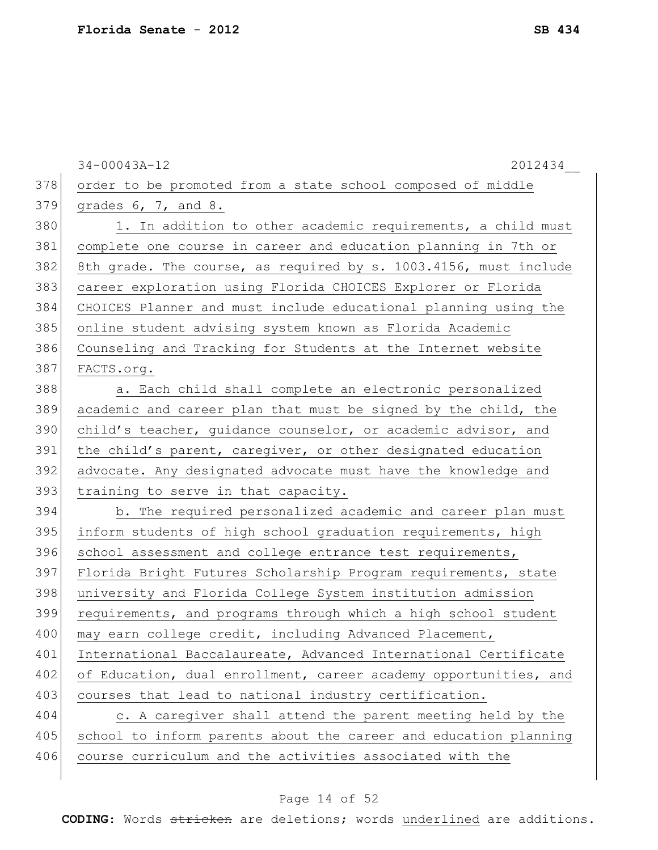|     | $34 - 00043A - 12$<br>2012434                                    |
|-----|------------------------------------------------------------------|
| 378 | order to be promoted from a state school composed of middle      |
| 379 | grades $6, 7,$ and $8.$                                          |
| 380 | 1. In addition to other academic requirements, a child must      |
| 381 | complete one course in career and education planning in 7th or   |
| 382 | 8th grade. The course, as required by s. 1003.4156, must include |
| 383 | career exploration using Florida CHOICES Explorer or Florida     |
| 384 | CHOICES Planner and must include educational planning using the  |
| 385 | online student advising system known as Florida Academic         |
| 386 | Counseling and Tracking for Students at the Internet website     |
| 387 | FACTS.org.                                                       |
| 388 | a. Each child shall complete an electronic personalized          |
| 389 | academic and career plan that must be signed by the child, the   |
| 390 | child's teacher, guidance counselor, or academic advisor, and    |
| 391 | the child's parent, caregiver, or other designated education     |
| 392 | advocate. Any designated advocate must have the knowledge and    |
| 393 | training to serve in that capacity.                              |
| 394 | b. The required personalized academic and career plan must       |
| 395 | inform students of high school graduation requirements, high     |
| 396 | school assessment and college entrance test requirements,        |
| 397 | Florida Bright Futures Scholarship Program requirements, state   |
| 398 | university and Florida College System institution admission      |
| 399 | requirements, and programs through which a high school student   |
| 400 | may earn college credit, including Advanced Placement,           |
| 401 | International Baccalaureate, Advanced International Certificate  |
| 402 | of Education, dual enrollment, career academy opportunities, and |
| 403 | courses that lead to national industry certification.            |
| 404 | c. A caregiver shall attend the parent meeting held by the       |
| 405 | school to inform parents about the career and education planning |
| 406 | course curriculum and the activities associated with the         |
|     |                                                                  |

# Page 14 of 52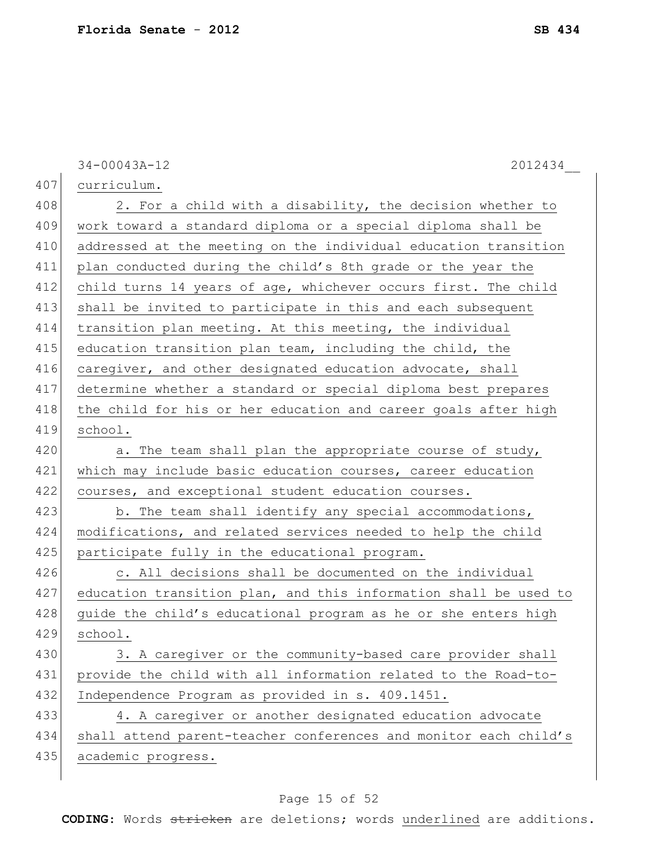|     | 34-00043A-12<br>2012434                                          |
|-----|------------------------------------------------------------------|
| 407 | curriculum.                                                      |
| 408 | 2. For a child with a disability, the decision whether to        |
| 409 | work toward a standard diploma or a special diploma shall be     |
| 410 | addressed at the meeting on the individual education transition  |
| 411 | plan conducted during the child's 8th grade or the year the      |
| 412 | child turns 14 years of age, whichever occurs first. The child   |
| 413 | shall be invited to participate in this and each subsequent      |
| 414 | transition plan meeting. At this meeting, the individual         |
| 415 | education transition plan team, including the child, the         |
| 416 | caregiver, and other designated education advocate, shall        |
| 417 | determine whether a standard or special diploma best prepares    |
| 418 | the child for his or her education and career goals after high   |
| 419 | school.                                                          |
| 420 | a. The team shall plan the appropriate course of study,          |
| 421 | which may include basic education courses, career education      |
| 422 | courses, and exceptional student education courses.              |
| 423 | b. The team shall identify any special accommodations,           |
| 424 | modifications, and related services needed to help the child     |
| 425 | participate fully in the educational program.                    |
| 426 | c. All decisions shall be documented on the individual           |
| 427 | education transition plan, and this information shall be used to |
| 428 | quide the child's educational program as he or she enters high   |
| 429 | school.                                                          |
| 430 | 3. A caregiver or the community-based care provider shall        |
| 431 | provide the child with all information related to the Road-to-   |
| 432 | Independence Program as provided in s. 409.1451.                 |
| 433 | 4. A caregiver or another designated education advocate          |
| 434 | shall attend parent-teacher conferences and monitor each child's |
| 435 | academic progress.                                               |
|     |                                                                  |

# Page 15 of 52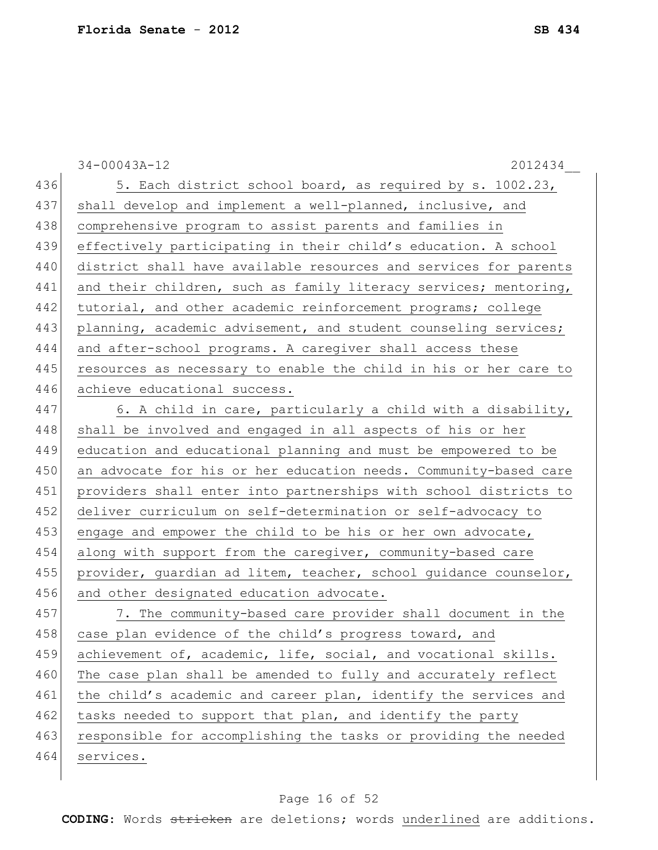|     | $34 - 00043A - 12$<br>2012434                                    |
|-----|------------------------------------------------------------------|
| 436 | 5. Each district school board, as required by s. 1002.23,        |
| 437 | shall develop and implement a well-planned, inclusive, and       |
| 438 | comprehensive program to assist parents and families in          |
| 439 | effectively participating in their child's education. A school   |
| 440 | district shall have available resources and services for parents |
| 441 | and their children, such as family literacy services; mentoring, |
| 442 | tutorial, and other academic reinforcement programs; college     |
| 443 | planning, academic advisement, and student counseling services;  |
| 444 | and after-school programs. A caregiver shall access these        |
| 445 | resources as necessary to enable the child in his or her care to |
| 446 | achieve educational success.                                     |
| 447 | 6. A child in care, particularly a child with a disability,      |
| 448 | shall be involved and engaged in all aspects of his or her       |
| 449 | education and educational planning and must be empowered to be   |
| 450 | an advocate for his or her education needs. Community-based care |
| 451 | providers shall enter into partnerships with school districts to |
| 452 | deliver curriculum on self-determination or self-advocacy to     |
| 453 | engage and empower the child to be his or her own advocate,      |
| 454 | along with support from the caregiver, community-based care      |
| 455 | provider, guardian ad litem, teacher, school guidance counselor, |
| 456 | and other designated education advocate.                         |
| 457 | 7. The community-based care provider shall document in the       |
| 458 | case plan evidence of the child's progress toward, and           |
| 459 | achievement of, academic, life, social, and vocational skills.   |
| 460 | The case plan shall be amended to fully and accurately reflect   |
| 461 | the child's academic and career plan, identify the services and  |
| 462 | tasks needed to support that plan, and identify the party        |
| 463 | responsible for accomplishing the tasks or providing the needed  |
| 464 | services.                                                        |
|     |                                                                  |

# Page 16 of 52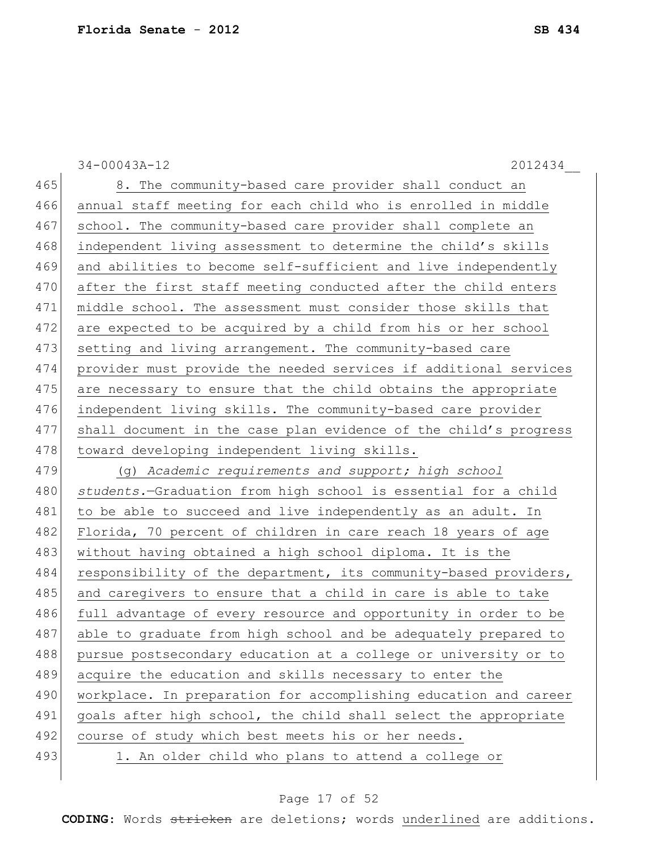|     | $34 - 00043A - 12$<br>2012434                                    |
|-----|------------------------------------------------------------------|
| 465 | 8. The community-based care provider shall conduct an            |
| 466 | annual staff meeting for each child who is enrolled in middle    |
| 467 | school. The community-based care provider shall complete an      |
| 468 | independent living assessment to determine the child's skills    |
| 469 | and abilities to become self-sufficient and live independently   |
| 470 | after the first staff meeting conducted after the child enters   |
| 471 | middle school. The assessment must consider those skills that    |
| 472 | are expected to be acquired by a child from his or her school    |
| 473 | setting and living arrangement. The community-based care         |
| 474 | provider must provide the needed services if additional services |
| 475 | are necessary to ensure that the child obtains the appropriate   |
| 476 | independent living skills. The community-based care provider     |
| 477 | shall document in the case plan evidence of the child's progress |
| 478 | toward developing independent living skills.                     |
| 479 | (g) Academic requirements and support; high school               |
| 480 | students.-Graduation from high school is essential for a child   |
| 481 | to be able to succeed and live independently as an adult. In     |
| 482 | Florida, 70 percent of children in care reach 18 years of age    |
| 483 | without having obtained a high school diploma. It is the         |
| 484 | responsibility of the department, its community-based providers, |
| 485 | and caregivers to ensure that a child in care is able to take    |
| 486 | full advantage of every resource and opportunity in order to be  |
| 487 | able to graduate from high school and be adequately prepared to  |
| 488 | pursue postsecondary education at a college or university or to  |
| 489 | acquire the education and skills necessary to enter the          |
| 490 | workplace. In preparation for accomplishing education and career |
| 491 | goals after high school, the child shall select the appropriate  |
| 492 | course of study which best meets his or her needs.               |
| 493 | 1. An older child who plans to attend a college or               |
|     |                                                                  |

# Page 17 of 52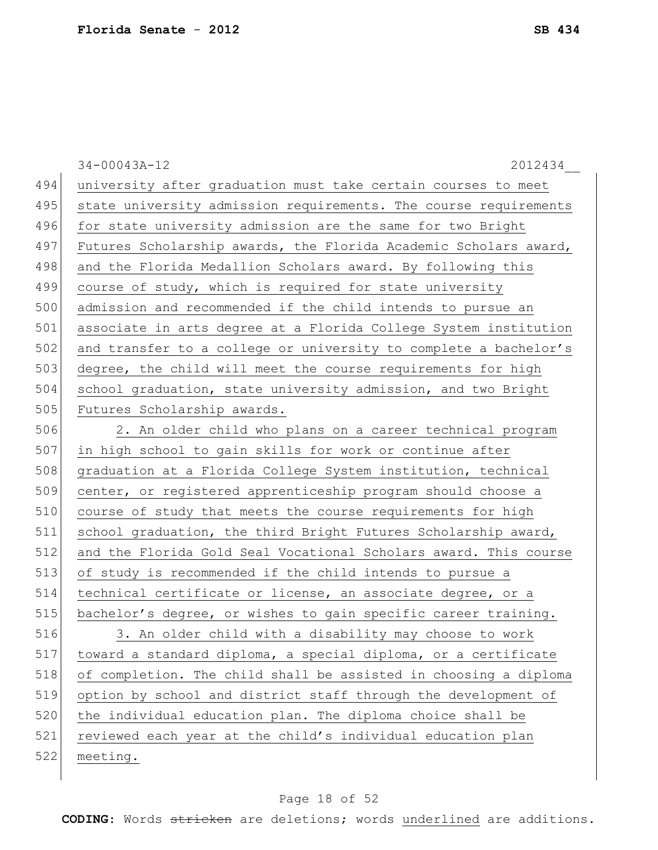34-00043A-12 2012434\_\_ 494 university after graduation must take certain courses to meet 495 state university admission requirements. The course requirements 496 for state university admission are the same for two Bright 497 Futures Scholarship awards, the Florida Academic Scholars award, 498 and the Florida Medallion Scholars award. By following this 499 course of study, which is required for state university 500 admission and recommended if the child intends to pursue an 501 associate in arts degree at a Florida College System institution 502 and transfer to a college or university to complete a bachelor's 503 degree, the child will meet the course requirements for high 504 school graduation, state university admission, and two Bright 505 Futures Scholarship awards. 506 2. An older child who plans on a career technical program 507 in high school to gain skills for work or continue after 508 graduation at a Florida College System institution, technical 509 center, or registered apprenticeship program should choose a 510 course of study that meets the course requirements for high 511 school graduation, the third Bright Futures Scholarship award, 512 and the Florida Gold Seal Vocational Scholars award. This course 513 of study is recommended if the child intends to pursue a 514 technical certificate or license, an associate degree, or a 515 bachelor's degree, or wishes to gain specific career training. 516 3. An older child with a disability may choose to work 517 toward a standard diploma, a special diploma, or a certificate 518 of completion. The child shall be assisted in choosing a diploma 519 option by school and district staff through the development of 520 the individual education plan. The diploma choice shall be 521 reviewed each year at the child's individual education plan 522 meeting.

### Page 18 of 52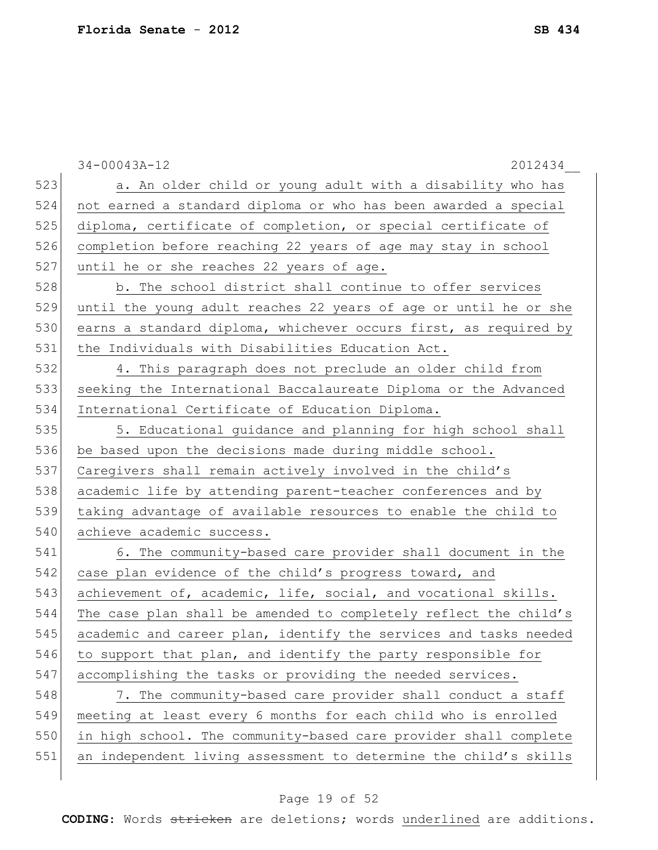|     | $34 - 00043A - 12$<br>2012434                                    |
|-----|------------------------------------------------------------------|
| 523 | a. An older child or young adult with a disability who has       |
| 524 | not earned a standard diploma or who has been awarded a special  |
| 525 | diploma, certificate of completion, or special certificate of    |
| 526 | completion before reaching 22 years of age may stay in school    |
| 527 | until he or she reaches 22 years of age.                         |
| 528 | b. The school district shall continue to offer services          |
| 529 | until the young adult reaches 22 years of age or until he or she |
| 530 | earns a standard diploma, whichever occurs first, as required by |
| 531 | the Individuals with Disabilities Education Act.                 |
| 532 | 4. This paragraph does not preclude an older child from          |
| 533 | seeking the International Baccalaureate Diploma or the Advanced  |
| 534 | International Certificate of Education Diploma.                  |
| 535 | 5. Educational guidance and planning for high school shall       |
| 536 | be based upon the decisions made during middle school.           |
| 537 | Caregivers shall remain actively involved in the child's         |
| 538 | academic life by attending parent-teacher conferences and by     |
| 539 | taking advantage of available resources to enable the child to   |
| 540 | achieve academic success.                                        |
| 541 | 6. The community-based care provider shall document in the       |
| 542 | case plan evidence of the child's progress toward, and           |
| 543 | achievement of, academic, life, social, and vocational skills.   |
| 544 | The case plan shall be amended to completely reflect the child's |
| 545 | academic and career plan, identify the services and tasks needed |
| 546 | to support that plan, and identify the party responsible for     |
| 547 | accomplishing the tasks or providing the needed services.        |
| 548 | 7. The community-based care provider shall conduct a staff       |
| 549 | meeting at least every 6 months for each child who is enrolled   |
| 550 | in high school. The community-based care provider shall complete |
| 551 | an independent living assessment to determine the child's skills |
|     |                                                                  |

# Page 19 of 52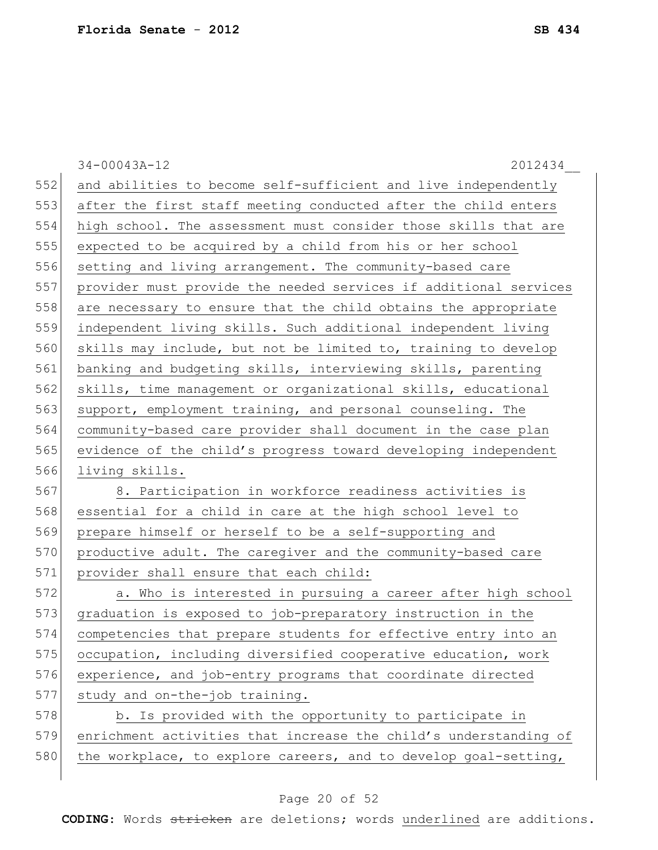|     | $34 - 00043A - 12$<br>2012434                                    |
|-----|------------------------------------------------------------------|
| 552 | and abilities to become self-sufficient and live independently   |
| 553 | after the first staff meeting conducted after the child enters   |
| 554 | high school. The assessment must consider those skills that are  |
| 555 | expected to be acquired by a child from his or her school        |
| 556 | setting and living arrangement. The community-based care         |
| 557 | provider must provide the needed services if additional services |
| 558 | are necessary to ensure that the child obtains the appropriate   |
| 559 | independent living skills. Such additional independent living    |
| 560 | skills may include, but not be limited to, training to develop   |
| 561 | banking and budgeting skills, interviewing skills, parenting     |
| 562 | skills, time management or organizational skills, educational    |
| 563 | support, employment training, and personal counseling. The       |
| 564 | community-based care provider shall document in the case plan    |
| 565 | evidence of the child's progress toward developing independent   |
| 566 | living skills.                                                   |
| 567 | 8. Participation in workforce readiness activities is            |
| 568 | essential for a child in care at the high school level to        |
| 569 | prepare himself or herself to be a self-supporting and           |
| 570 | productive adult. The caregiver and the community-based care     |
| 571 | provider shall ensure that each child:                           |
| 572 | a. Who is interested in pursuing a career after high school      |
| 573 | graduation is exposed to job-preparatory instruction in the      |
| 574 | competencies that prepare students for effective entry into an   |
| 575 | occupation, including diversified cooperative education, work    |
| 576 | experience, and job-entry programs that coordinate directed      |
| 577 | study and on-the-job training.                                   |
| 578 | b. Is provided with the opportunity to participate in            |
| 579 | enrichment activities that increase the child's understanding of |
| 580 | the workplace, to explore careers, and to develop goal-setting,  |

# Page 20 of 52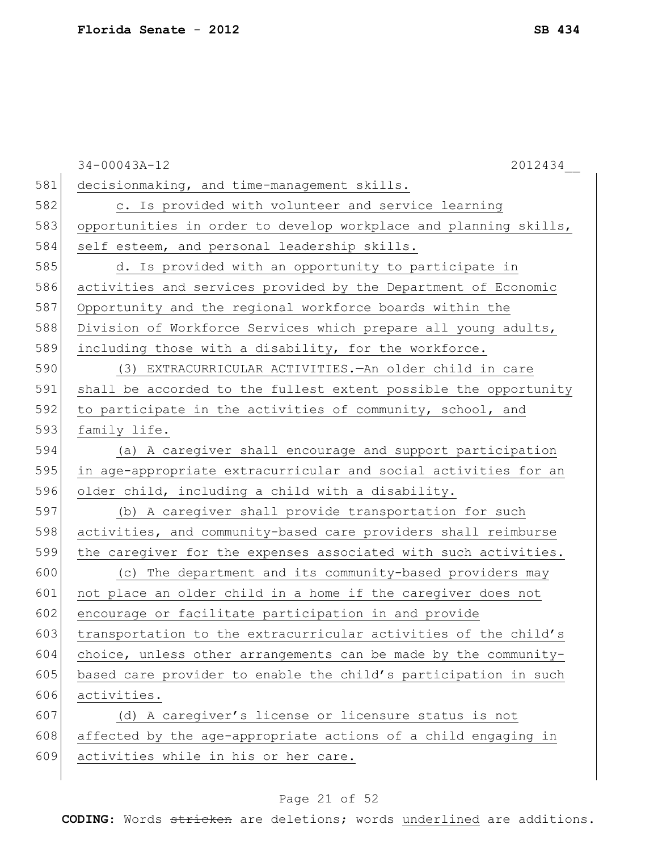|     | $34 - 00043A - 12$<br>2012434                                    |
|-----|------------------------------------------------------------------|
| 581 | decisionmaking, and time-management skills.                      |
| 582 | c. Is provided with volunteer and service learning               |
| 583 | opportunities in order to develop workplace and planning skills, |
| 584 | self esteem, and personal leadership skills.                     |
| 585 | d. Is provided with an opportunity to participate in             |
| 586 | activities and services provided by the Department of Economic   |
| 587 | Opportunity and the regional workforce boards within the         |
| 588 | Division of Workforce Services which prepare all young adults,   |
| 589 | including those with a disability, for the workforce.            |
| 590 | (3) EXTRACURRICULAR ACTIVITIES. - An older child in care         |
| 591 | shall be accorded to the fullest extent possible the opportunity |
| 592 | to participate in the activities of community, school, and       |
| 593 | family life.                                                     |
| 594 | (a) A caregiver shall encourage and support participation        |
| 595 | in age-appropriate extracurricular and social activities for an  |
| 596 | older child, including a child with a disability.                |
| 597 | (b) A caregiver shall provide transportation for such            |
| 598 | activities, and community-based care providers shall reimburse   |
| 599 | the caregiver for the expenses associated with such activities.  |
| 600 | (c) The department and its community-based providers may         |
| 601 | not place an older child in a home if the caregiver does not     |
| 602 | encourage or facilitate participation in and provide             |
| 603 | transportation to the extracurricular activities of the child's  |
| 604 | choice, unless other arrangements can be made by the community-  |
| 605 | based care provider to enable the child's participation in such  |
| 606 | activities.                                                      |
| 607 | (d) A caregiver's license or licensure status is not             |
| 608 | affected by the age-appropriate actions of a child engaging in   |
| 609 | activities while in his or her care.                             |
|     |                                                                  |

# Page 21 of 52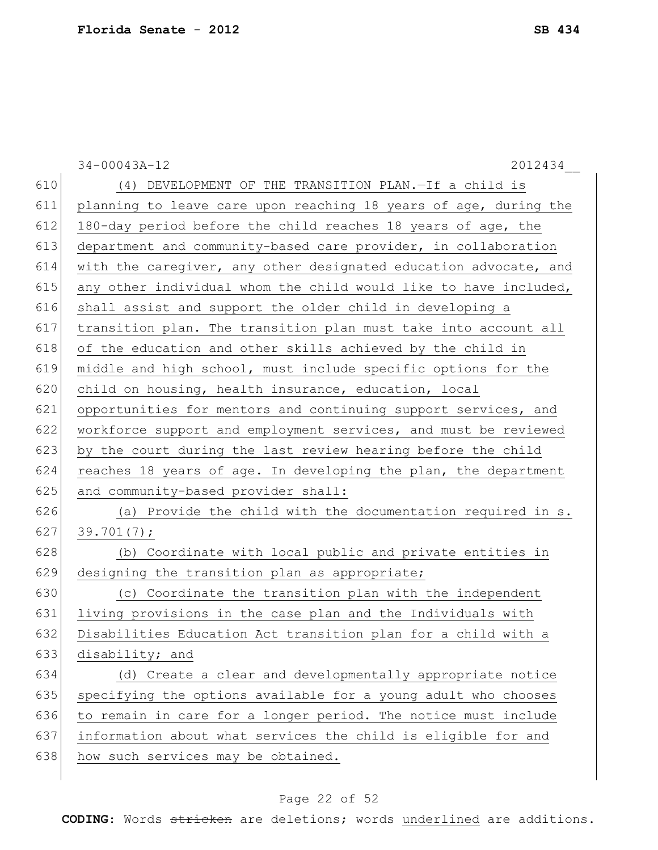|     | $34 - 00043A - 12$<br>2012434                                    |
|-----|------------------------------------------------------------------|
| 610 | (4) DEVELOPMENT OF THE TRANSITION PLAN.-If a child is            |
| 611 | planning to leave care upon reaching 18 years of age, during the |
| 612 | 180-day period before the child reaches 18 years of age, the     |
| 613 | department and community-based care provider, in collaboration   |
| 614 | with the caregiver, any other designated education advocate, and |
| 615 | any other individual whom the child would like to have included, |
| 616 | shall assist and support the older child in developing a         |
| 617 | transition plan. The transition plan must take into account all  |
| 618 | of the education and other skills achieved by the child in       |
| 619 | middle and high school, must include specific options for the    |
| 620 | child on housing, health insurance, education, local             |
| 621 | opportunities for mentors and continuing support services, and   |
| 622 | workforce support and employment services, and must be reviewed  |
| 623 | by the court during the last review hearing before the child     |
| 624 | reaches 18 years of age. In developing the plan, the department  |
| 625 | and community-based provider shall:                              |
| 626 | (a) Provide the child with the documentation required in s.      |
| 627 | 39.701(7);                                                       |
| 628 | (b) Coordinate with local public and private entities in         |
| 629 | designing the transition plan as appropriate;                    |
| 630 | (c) Coordinate the transition plan with the independent          |
| 631 | living provisions in the case plan and the Individuals with      |
| 632 | Disabilities Education Act transition plan for a child with a    |
| 633 | disability; and                                                  |
| 634 | (d) Create a clear and developmentally appropriate notice        |
| 635 | specifying the options available for a young adult who chooses   |
| 636 | to remain in care for a longer period. The notice must include   |
| 637 | information about what services the child is eligible for and    |
| 638 | how such services may be obtained.                               |
|     |                                                                  |

# Page 22 of 52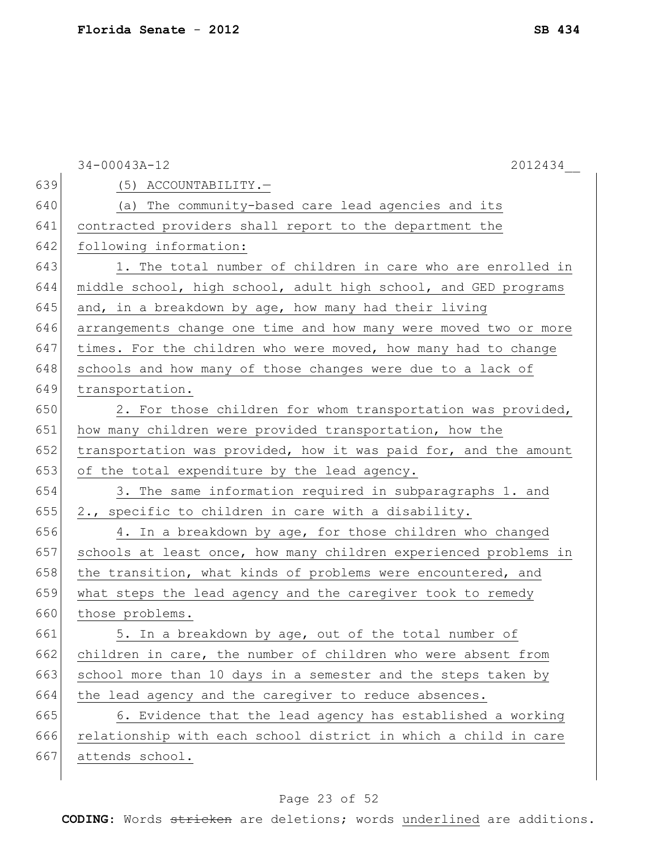|     | $34 - 00043A - 12$<br>2012434                                    |
|-----|------------------------------------------------------------------|
| 639 | (5) ACCOUNTABILITY.-                                             |
| 640 | (a) The community-based care lead agencies and its               |
| 641 | contracted providers shall report to the department the          |
| 642 | following information:                                           |
| 643 | 1. The total number of children in care who are enrolled in      |
| 644 | middle school, high school, adult high school, and GED programs  |
| 645 | and, in a breakdown by age, how many had their living            |
| 646 | arrangements change one time and how many were moved two or more |
| 647 | times. For the children who were moved, how many had to change   |
| 648 | schools and how many of those changes were due to a lack of      |
| 649 | transportation.                                                  |
| 650 | 2. For those children for whom transportation was provided,      |
| 651 | how many children were provided transportation, how the          |
| 652 | transportation was provided, how it was paid for, and the amount |
| 653 | of the total expenditure by the lead agency.                     |
| 654 | 3. The same information required in subparagraphs 1. and         |
| 655 | 2., specific to children in care with a disability.              |
| 656 | 4. In a breakdown by age, for those children who changed         |
| 657 | schools at least once, how many children experienced problems in |
| 658 | the transition, what kinds of problems were encountered, and     |
| 659 | what steps the lead agency and the caregiver took to remedy      |
| 660 | those problems.                                                  |
| 661 | 5. In a breakdown by age, out of the total number of             |
| 662 | children in care, the number of children who were absent from    |
| 663 | school more than 10 days in a semester and the steps taken by    |
| 664 | the lead agency and the caregiver to reduce absences.            |
| 665 | 6. Evidence that the lead agency has established a working       |
| 666 | relationship with each school district in which a child in care  |
| 667 | attends school.                                                  |
|     |                                                                  |

# Page 23 of 52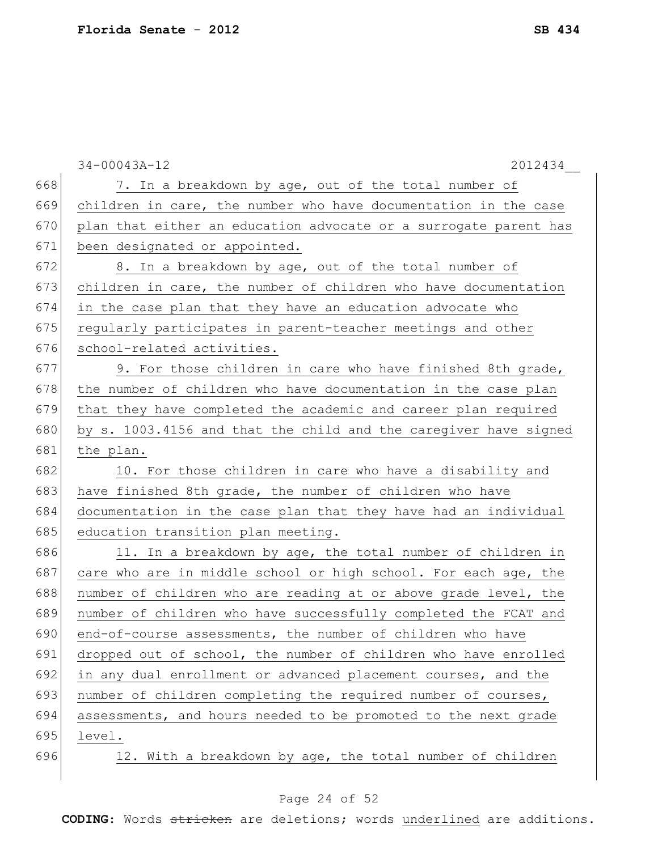|     | $34 - 00043A - 12$<br>2012434                                    |
|-----|------------------------------------------------------------------|
| 668 | 7. In a breakdown by age, out of the total number of             |
| 669 | children in care, the number who have documentation in the case  |
| 670 | plan that either an education advocate or a surrogate parent has |
| 671 | been designated or appointed.                                    |
| 672 | 8. In a breakdown by age, out of the total number of             |
| 673 | children in care, the number of children who have documentation  |
| 674 | in the case plan that they have an education advocate who        |
| 675 | regularly participates in parent-teacher meetings and other      |
| 676 | school-related activities.                                       |
| 677 | 9. For those children in care who have finished 8th grade,       |
| 678 | the number of children who have documentation in the case plan   |
| 679 | that they have completed the academic and career plan required   |
| 680 | by s. 1003.4156 and that the child and the caregiver have signed |
| 681 | the plan.                                                        |
| 682 | 10. For those children in care who have a disability and         |
| 683 | have finished 8th grade, the number of children who have         |
| 684 | documentation in the case plan that they have had an individual  |
| 685 | education transition plan meeting.                               |
| 686 | 11. In a breakdown by age, the total number of children in       |
| 687 | care who are in middle school or high school. For each age, the  |
| 688 | number of children who are reading at or above grade level, the  |
| 689 | number of children who have successfully completed the FCAT and  |
| 690 | end-of-course assessments, the number of children who have       |
| 691 | dropped out of school, the number of children who have enrolled  |
| 692 | in any dual enrollment or advanced placement courses, and the    |
| 693 | number of children completing the required number of courses,    |
| 694 | assessments, and hours needed to be promoted to the next grade   |
| 695 | level.                                                           |
| 696 | 12. With a breakdown by age, the total number of children        |
|     |                                                                  |

# Page 24 of 52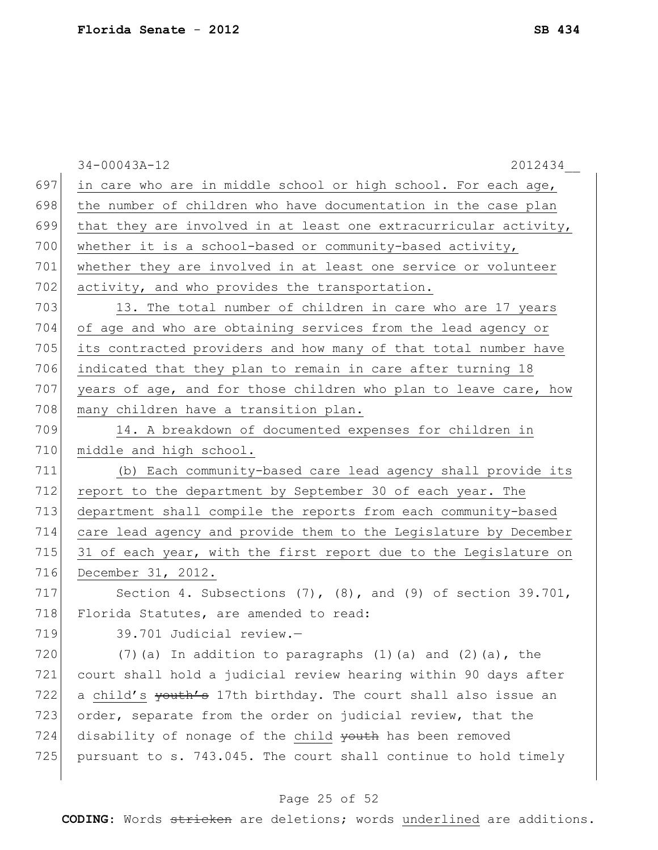|     | $34 - 00043A - 12$<br>2012434                                       |
|-----|---------------------------------------------------------------------|
| 697 | in care who are in middle school or high school. For each age,      |
| 698 | the number of children who have documentation in the case plan      |
| 699 | that they are involved in at least one extracurricular activity,    |
| 700 | whether it is a school-based or community-based activity,           |
| 701 | whether they are involved in at least one service or volunteer      |
| 702 | activity, and who provides the transportation.                      |
| 703 | 13. The total number of children in care who are 17 years           |
| 704 | of age and who are obtaining services from the lead agency or       |
| 705 | its contracted providers and how many of that total number have     |
| 706 | indicated that they plan to remain in care after turning 18         |
| 707 | years of age, and for those children who plan to leave care, how    |
| 708 | many children have a transition plan.                               |
| 709 | 14. A breakdown of documented expenses for children in              |
| 710 | middle and high school.                                             |
| 711 | (b) Each community-based care lead agency shall provide its         |
| 712 | report to the department by September 30 of each year. The          |
| 713 | department shall compile the reports from each community-based      |
| 714 | care lead agency and provide them to the Legislature by December    |
| 715 | 31 of each year, with the first report due to the Legislature on    |
| 716 | December 31, 2012.                                                  |
| 717 | Section 4. Subsections $(7)$ , $(8)$ , and $(9)$ of section 39.701, |
| 718 | Florida Statutes, are amended to read:                              |
| 719 | 39.701 Judicial review.-                                            |
| 720 | $(7)$ (a) In addition to paragraphs $(1)$ (a) and $(2)$ (a), the    |
| 721 | court shall hold a judicial review hearing within 90 days after     |
| 722 | a child's youth's 17th birthday. The court shall also issue an      |
| 723 | order, separate from the order on judicial review, that the         |
| 724 | disability of nonage of the child youth has been removed            |
| 725 | pursuant to s. 743.045. The court shall continue to hold timely     |
|     |                                                                     |

# Page 25 of 52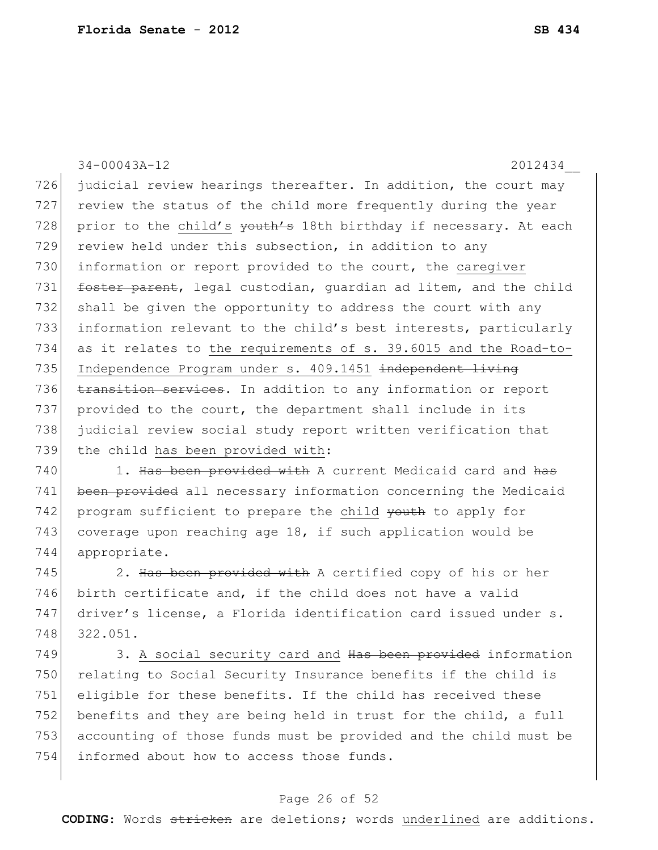34-00043A-12 2012434\_\_ 726 judicial review hearings thereafter. In addition, the court may 727 review the status of the child more frequently during the year 728 prior to the child's youth's 18th birthday if necessary. At each 729 review held under this subsection, in addition to any 730 information or report provided to the court, the caregiver 731 **foster parent**, legal custodian, guardian ad litem, and the child 732 shall be given the opportunity to address the court with any 733 information relevant to the child's best interests, particularly 734 as it relates to the requirements of s. 39.6015 and the Road-to-735 Independence Program under s. 409.1451 independent living 736 transition services. In addition to any information or report 737 provided to the court, the department shall include in its 738 judicial review social study report written verification that 739 the child has been provided with: 740 1. Has been provided with A current Medicaid card and has 741 been provided all necessary information concerning the Medicaid 742 program sufficient to prepare the child youth to apply for

743 coverage upon reaching age 18, if such application would be 744 appropriate.

745 2. Has been provided with A certified copy of his or her 746 birth certificate and, if the child does not have a valid 747 driver's license, a Florida identification card issued under s. 748 322.051.

749 3. A social security card and Has been provided information 750 relating to Social Security Insurance benefits if the child is 751 eligible for these benefits. If the child has received these 752 benefits and they are being held in trust for the child, a full 753 accounting of those funds must be provided and the child must be 754 informed about how to access those funds.

### Page 26 of 52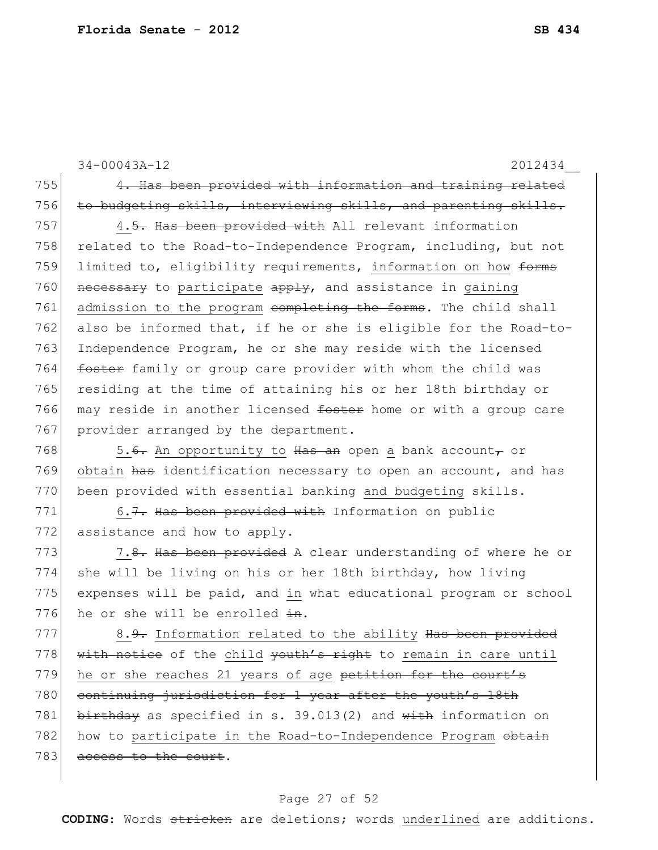34-00043A-12 2012434\_\_ 755 4. Has been provided with information and training related 756 to budgeting skills, interviewing skills, and parenting skills. 757 4.5. Has been provided with All relevant information 758 related to the Road-to-Independence Program, including, but not 759 limited to, eligibility requirements, information on how forms 760 necessary to participate apply, and assistance in gaining 761 admission to the program completing the forms. The child shall 762 also be informed that, if he or she is eligible for the Road-to-763 Independence Program, he or she may reside with the licensed 764 foster family or group care provider with whom the child was 765 residing at the time of attaining his or her 18th birthday or 766 may reside in another licensed foster home or with a group care 767 provider arranged by the department. 768  $\sim$  5.<del>6.</del> An opportunity to  $\frac{1}{x}$  and open a bank account, or 769 obtain has identification necessary to open an account, and has 770 been provided with essential banking and budgeting skills. 771 6.7. Has been provided with Information on public 772 assistance and how to apply. 773 7.8. Has been provided A clear understanding of where he or 774 she will be living on his or her 18th birthday, how living 775 expenses will be paid, and in what educational program or school 776 he or she will be enrolled  $\pm n$ . 777 8.9. Information related to the ability  $\text{Has}$  been provided 778  $|\text{with notice of the child *youth's right* to remain in care until$ 779 he or she reaches 21 years of age petition for the court's 780 continuing jurisdiction for 1 year after the youth's 18th 781 birthday as specified in s. 39.013(2) and  $\frac{1}{100}$  information on 782 how to participate in the Road-to-Independence Program obtain 783 access to the court.

### Page 27 of 52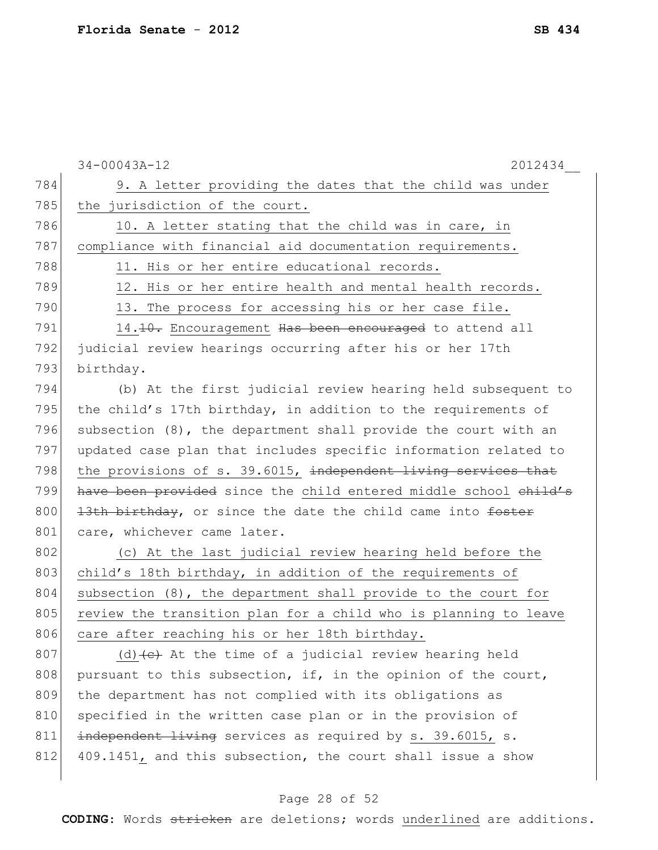|     | $34 - 00043A - 12$<br>2012434                                      |
|-----|--------------------------------------------------------------------|
| 784 | 9. A letter providing the dates that the child was under           |
| 785 | the jurisdiction of the court.                                     |
| 786 | 10. A letter stating that the child was in care, in                |
| 787 | compliance with financial aid documentation requirements.          |
| 788 | 11. His or her entire educational records.                         |
| 789 | 12. His or her entire health and mental health records.            |
| 790 | 13. The process for accessing his or her case file.                |
| 791 | 14. <del>10.</del> Encouragement Has been encouraged to attend all |
| 792 | judicial review hearings occurring after his or her 17th           |
| 793 | birthday.                                                          |
| 794 | (b) At the first judicial review hearing held subsequent to        |
| 795 | the child's 17th birthday, in addition to the requirements of      |
| 796 | subsection (8), the department shall provide the court with an     |
| 797 | updated case plan that includes specific information related to    |
| 798 | the provisions of s. 39.6015, independent living services that     |
| 799 | have been provided since the child entered middle school child's   |
| 800 | 13th birthday, or since the date the child came into foster        |
| 801 | care, whichever came later.                                        |
| 802 | (c) At the last judicial review hearing held before the            |
| 803 | child's 18th birthday, in addition of the requirements of          |
| 804 | subsection (8), the department shall provide to the court for      |
| 805 | review the transition plan for a child who is planning to leave    |
| 806 | care after reaching his or her 18th birthday.                      |
| 807 | (d) $(e)$ At the time of a judicial review hearing held            |
| 808 | pursuant to this subsection, if, in the opinion of the court,      |
| 809 | the department has not complied with its obligations as            |
| 810 | specified in the written case plan or in the provision of          |
| 811 | independent living services as required by s. 39.6015, s.          |
| 812 | 409.1451, and this subsection, the court shall issue a show        |
|     |                                                                    |

# Page 28 of 52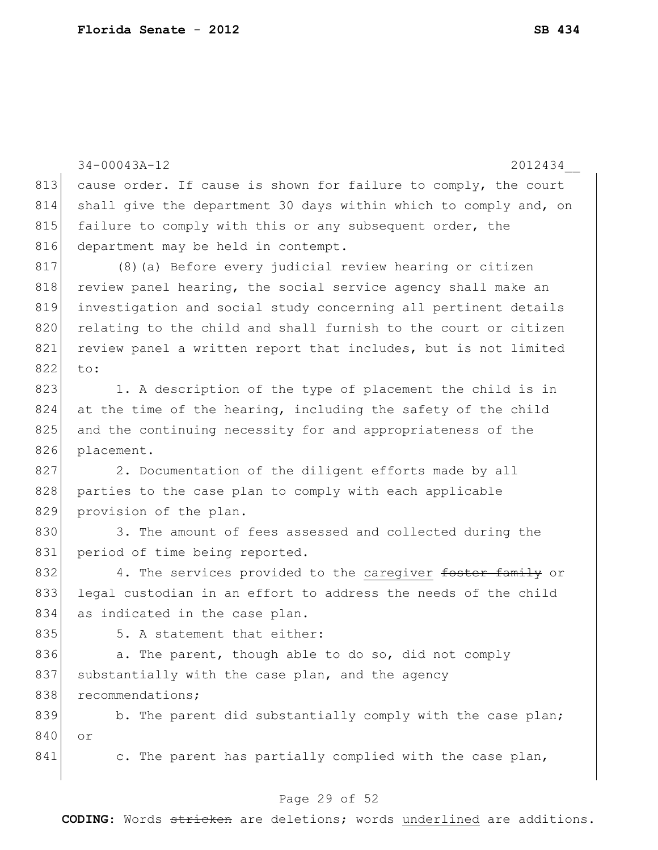34-00043A-12 2012434\_\_ 813 cause order. If cause is shown for failure to comply, the court 814 shall give the department 30 days within which to comply and, on 815 failure to comply with this or any subsequent order, the 816 department may be held in contempt. 817 (8)(a) Before every judicial review hearing or citizen 818 review panel hearing, the social service agency shall make an 819 investigation and social study concerning all pertinent details 820 relating to the child and shall furnish to the court or citizen 821 review panel a written report that includes, but is not limited 822 to: 823 1. A description of the type of placement the child is in 824 at the time of the hearing, including the safety of the child 825 and the continuing necessity for and appropriateness of the 826 placement. 827 2. Documentation of the diligent efforts made by all 828 parties to the case plan to comply with each applicable 829 provision of the plan. 830 3. The amount of fees assessed and collected during the 831 period of time being reported. 832 4. The services provided to the caregiver foster family or 833 legal custodian in an effort to address the needs of the child 834 as indicated in the case plan.  $835$   $5.$  A statement that either: 836 a. The parent, though able to do so, did not comply 837 substantially with the case plan, and the agency 838 recommendations; 839 b. The parent did substantially comply with the case plan; 840 or 841 c. The parent has partially complied with the case plan,

### Page 29 of 52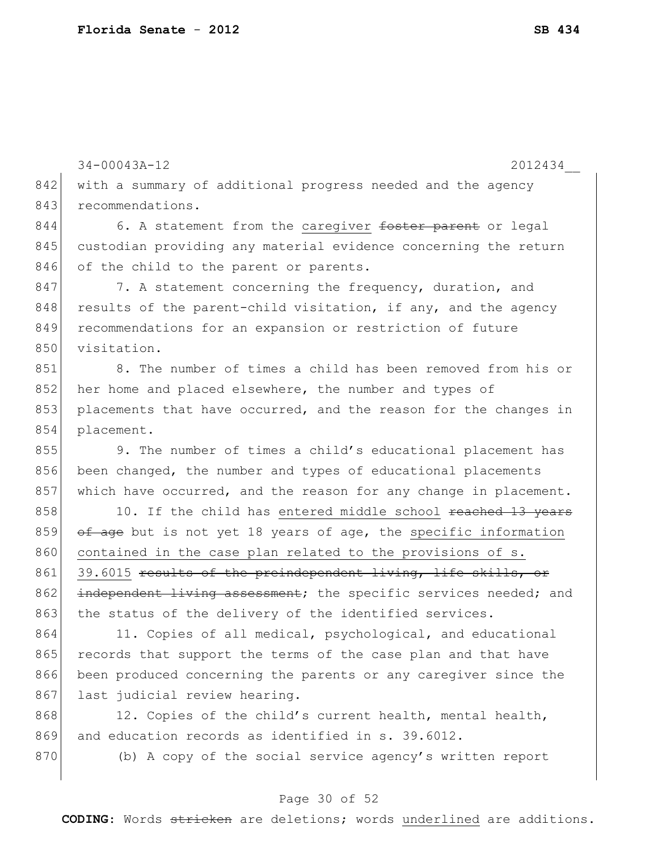34-00043A-12 2012434\_\_

842 with a summary of additional progress needed and the agency 843 recommendations.

844 6. A statement from the caregiver foster parent or legal 845 custodian providing any material evidence concerning the return 846 of the child to the parent or parents.

847 7. A statement concerning the frequency, duration, and  $848$  results of the parent-child visitation, if any, and the agency 849 recommendations for an expansion or restriction of future 850 visitation.

 8. The number of times a child has been removed from his or 852 her home and placed elsewhere, the number and types of placements that have occurred, and the reason for the changes in placement.

855 9. The number of times a child's educational placement has 856 been changed, the number and types of educational placements 857 which have occurred, and the reason for any change in placement.

858 10. If the child has entered middle school reached 13 years 859  $\sigma$   $\frac{1}{2}$   $\sigma$  but is not yet 18 years of age, the specific information 860 contained in the case plan related to the provisions of s. 861 39.6015 results of the preindependent living, life skills, or 862 independent living assessment; the specific services needed; and 863 the status of the delivery of the identified services.

864 11. Copies of all medical, psychological, and educational 865 records that support the terms of the case plan and that have 866 been produced concerning the parents or any caregiver since the 867 last judicial review hearing.

868 12. Copies of the child's current health, mental health, 869 and education records as identified in s. 39.6012.

870 (b) A copy of the social service agency's written report

### Page 30 of 52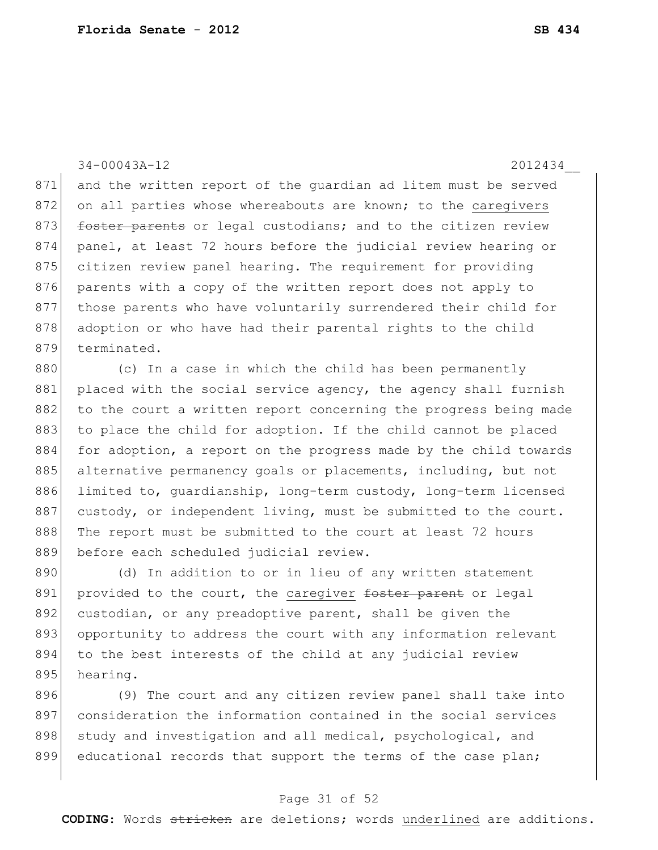34-00043A-12 2012434\_\_ 871 and the written report of the quardian ad litem must be served 872 on all parties whose whereabouts are known; to the caregivers 873 **foster parents** or legal custodians; and to the citizen review 874 panel, at least 72 hours before the judicial review hearing or 875 citizen review panel hearing. The requirement for providing 876 parents with a copy of the written report does not apply to 877 those parents who have voluntarily surrendered their child for 878 adoption or who have had their parental rights to the child 879 terminated.

880 (c) In a case in which the child has been permanently 881 placed with the social service agency, the agency shall furnish 882 to the court a written report concerning the progress being made 883 to place the child for adoption. If the child cannot be placed 884 for adoption, a report on the progress made by the child towards 885 alternative permanency goals or placements, including, but not 886 limited to, quardianship, long-term custody, long-term licensed 887 custody, or independent living, must be submitted to the court. 888 The report must be submitted to the court at least 72 hours 889 before each scheduled judicial review.

890 (d) In addition to or in lieu of any written statement 891 provided to the court, the caregiver foster parent or legal 892 custodian, or any preadoptive parent, shall be given the 893 opportunity to address the court with any information relevant 894 to the best interests of the child at any judicial review 895 hearing.

896 (9) The court and any citizen review panel shall take into 897 consideration the information contained in the social services 898 study and investigation and all medical, psychological, and 899 educational records that support the terms of the case plan;

#### Page 31 of 52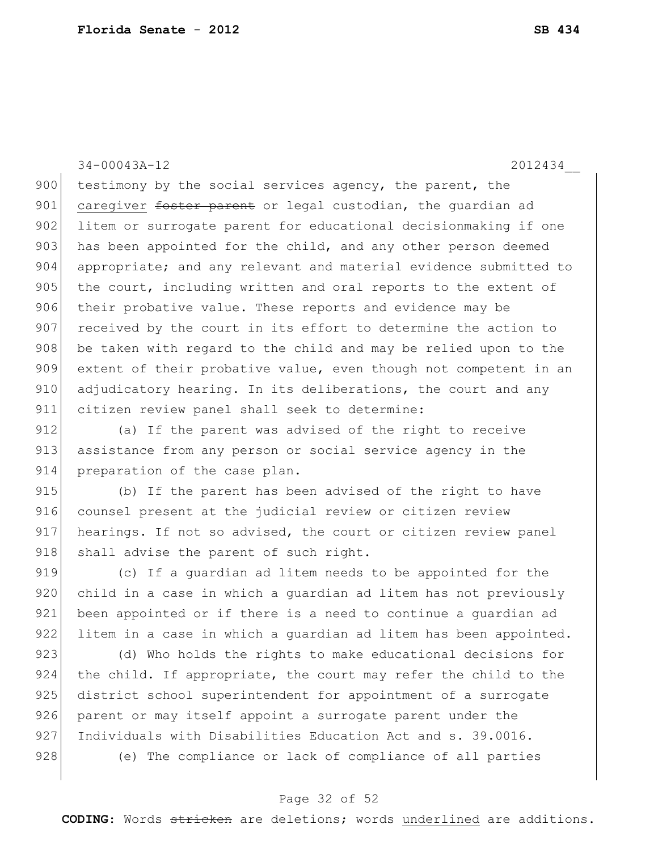34-00043A-12 2012434\_\_

900 testimony by the social services agency, the parent, the 901 caregiver foster parent or legal custodian, the quardian ad 902 litem or surrogate parent for educational decisionmaking if one 903 has been appointed for the child, and any other person deemed 904 appropriate; and any relevant and material evidence submitted to 905 the court, including written and oral reports to the extent of 906 their probative value. These reports and evidence may be 907 received by the court in its effort to determine the action to 908 be taken with regard to the child and may be relied upon to the 909 extent of their probative value, even though not competent in an 910 adjudicatory hearing. In its deliberations, the court and any 911 citizen review panel shall seek to determine:

912 (a) If the parent was advised of the right to receive 913 assistance from any person or social service agency in the 914 preparation of the case plan.

915 (b) If the parent has been advised of the right to have 916 counsel present at the judicial review or citizen review 917 hearings. If not so advised, the court or citizen review panel 918 shall advise the parent of such right.

919 (c) If a quardian ad litem needs to be appointed for the 920 child in a case in which a guardian ad litem has not previously 921 been appointed or if there is a need to continue a quardian ad 922 litem in a case in which a quardian ad litem has been appointed.

923 (d) Who holds the rights to make educational decisions for 924 the child. If appropriate, the court may refer the child to the 925 district school superintendent for appointment of a surrogate 926 parent or may itself appoint a surrogate parent under the 927 Individuals with Disabilities Education Act and s. 39.0016. 928 (e) The compliance or lack of compliance of all parties

### Page 32 of 52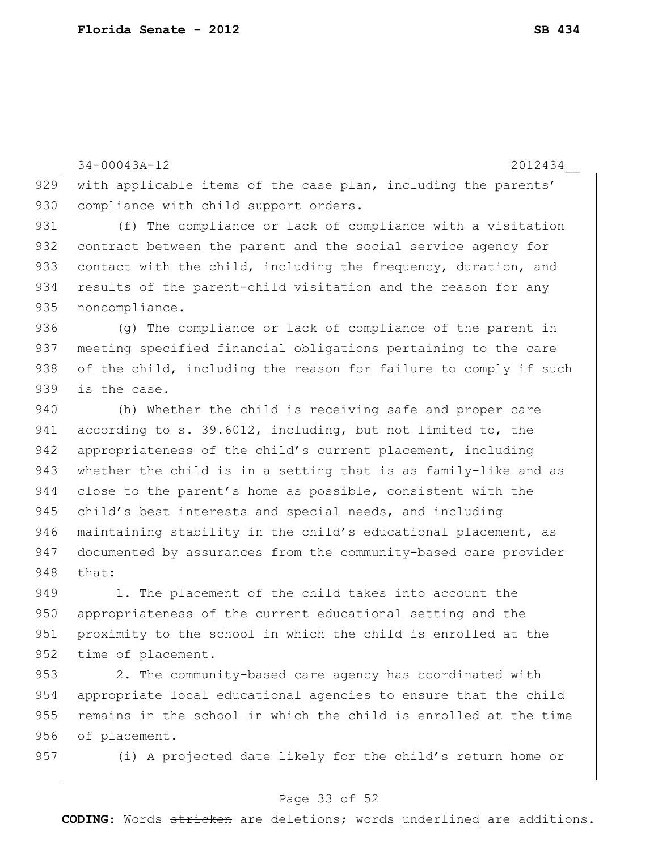34-00043A-12 2012434\_\_ 929 with applicable items of the case plan, including the parents' 930 compliance with child support orders. 931 (f) The compliance or lack of compliance with a visitation 932 contract between the parent and the social service agency for 933 contact with the child, including the frequency, duration, and 934 results of the parent-child visitation and the reason for any 935 noncompliance. 936 (g) The compliance or lack of compliance of the parent in 937 meeting specified financial obligations pertaining to the care 938 of the child, including the reason for failure to comply if such 939 is the case. 940 (h) Whether the child is receiving safe and proper care 941 according to s. 39.6012, including, but not limited to, the 942 appropriateness of the child's current placement, including 943 whether the child is in a setting that is as family-like and as 944 close to the parent's home as possible, consistent with the 945 child's best interests and special needs, and including 946 maintaining stability in the child's educational placement, as 947 documented by assurances from the community-based care provider 948 that: 949 1. The placement of the child takes into account the 950 appropriateness of the current educational setting and the 951 proximity to the school in which the child is enrolled at the 952 time of placement.

953 2. The community-based care agency has coordinated with 954 appropriate local educational agencies to ensure that the child 955 remains in the school in which the child is enrolled at the time 956 of placement.

957 (i) A projected date likely for the child's return home or

### Page 33 of 52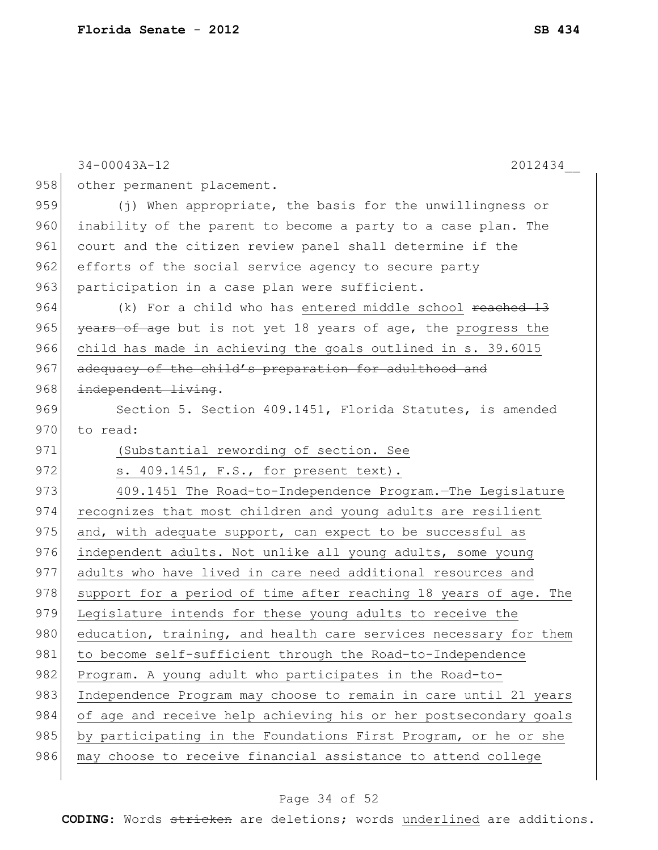|     | $34 - 00043A - 12$<br>2012434                                    |
|-----|------------------------------------------------------------------|
| 958 | other permanent placement.                                       |
| 959 | (j) When appropriate, the basis for the unwillingness or         |
| 960 | inability of the parent to become a party to a case plan. The    |
| 961 | court and the citizen review panel shall determine if the        |
| 962 | efforts of the social service agency to secure party             |
| 963 | participation in a case plan were sufficient.                    |
| 964 | (k) For a child who has entered middle school reached 13         |
| 965 | years of age but is not yet 18 years of age, the progress the    |
| 966 | child has made in achieving the goals outlined in s. 39.6015     |
| 967 | adequacy of the child's preparation for adulthood and            |
| 968 | independent living.                                              |
| 969 | Section 5. Section 409.1451, Florida Statutes, is amended        |
| 970 | to read:                                                         |
| 971 | (Substantial rewording of section. See                           |
| 972 | s. 409.1451, F.S., for present text).                            |
| 973 | 409.1451 The Road-to-Independence Program. The Legislature       |
| 974 | recognizes that most children and young adults are resilient     |
| 975 | and, with adequate support, can expect to be successful as       |
| 976 | independent adults. Not unlike all young adults, some young      |
| 977 | adults who have lived in care need additional resources and      |
| 978 | support for a period of time after reaching 18 years of age. The |
| 979 | Legislature intends for these young adults to receive the        |
| 980 | education, training, and health care services necessary for them |
| 981 | to become self-sufficient through the Road-to-Independence       |
| 982 | Program. A young adult who participates in the Road-to-          |
| 983 | Independence Program may choose to remain in care until 21 years |
| 984 | of age and receive help achieving his or her postsecondary goals |
| 985 | by participating in the Foundations First Program, or he or she  |
| 986 | may choose to receive financial assistance to attend college     |
|     |                                                                  |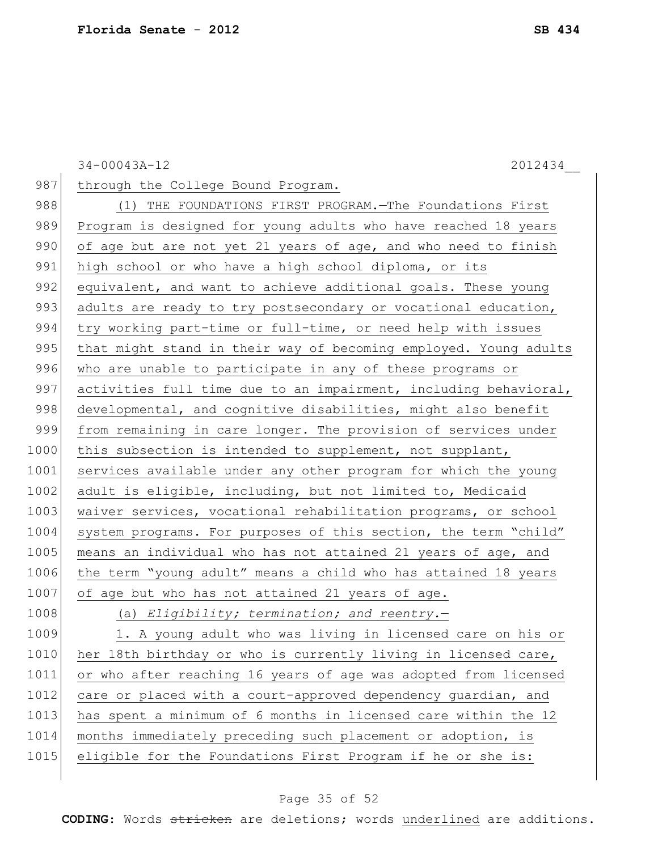34-00043A-12 2012434\_\_ 987 through the College Bound Program. 988 (1) THE FOUNDATIONS FIRST PROGRAM. The Foundations First 989 Program is designed for young adults who have reached 18 years 990 of age but are not yet 21 years of age, and who need to finish 991 high school or who have a high school diploma, or its 992 equivalent, and want to achieve additional goals. These young 993 adults are ready to try postsecondary or vocational education, 994 try working part-time or full-time, or need help with issues 995 | that might stand in their way of becoming employed. Young adults 996 who are unable to participate in any of these programs or 997 activities full time due to an impairment, including behavioral, 998 developmental, and cognitive disabilities, might also benefit 999 from remaining in care longer. The provision of services under 1000 this subsection is intended to supplement, not supplant, 1001 services available under any other program for which the young 1002 adult is eligible, including, but not limited to, Medicaid 1003 waiver services, vocational rehabilitation programs, or school 1004 system programs. For purposes of this section, the term "child" 1005 means an individual who has not attained 21 years of age, and 1006 the term "young adult" means a child who has attained 18 years 1007 of age but who has not attained 21 years of age. 1008 (a) *Eligibility; termination; and reentry.*— 1009 1. A young adult who was living in licensed care on his or 1010 her 18th birthday or who is currently living in licensed care, 1011 or who after reaching 16 years of age was adopted from licensed 1012 care or placed with a court-approved dependency guardian, and 1013 has spent a minimum of 6 months in licensed care within the 12 1014 months immediately preceding such placement or adoption, is 1015 eligible for the Foundations First Program if he or she is:

### Page 35 of 52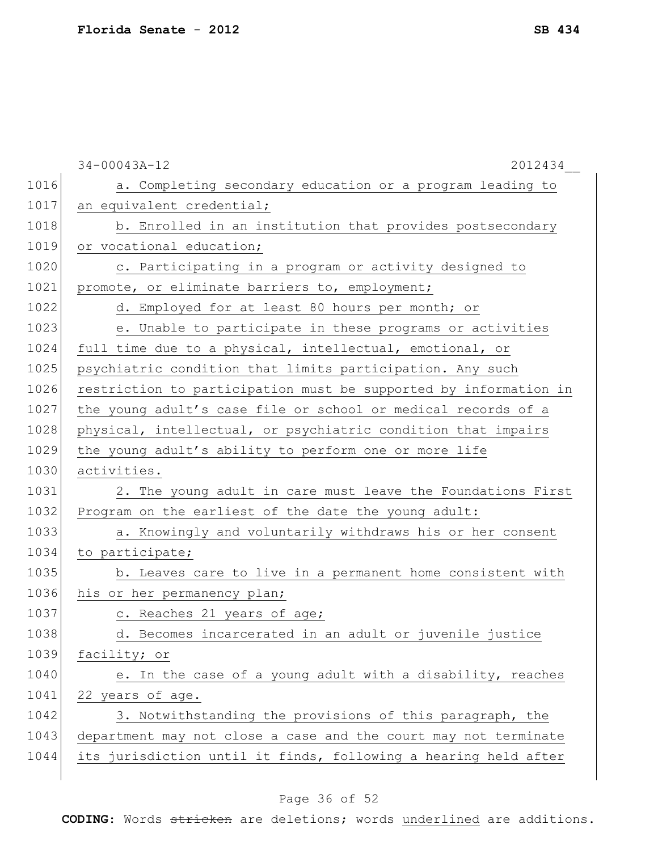|      | $34 - 00043A - 12$<br>2012434                                    |
|------|------------------------------------------------------------------|
| 1016 | a. Completing secondary education or a program leading to        |
| 1017 | an equivalent credential;                                        |
| 1018 | b. Enrolled in an institution that provides postsecondary        |
| 1019 | or vocational education;                                         |
| 1020 | c. Participating in a program or activity designed to            |
| 1021 | promote, or eliminate barriers to, employment;                   |
| 1022 | d. Employed for at least 80 hours per month; or                  |
| 1023 | e. Unable to participate in these programs or activities         |
| 1024 | full time due to a physical, intellectual, emotional, or         |
| 1025 | psychiatric condition that limits participation. Any such        |
| 1026 | restriction to participation must be supported by information in |
| 1027 | the young adult's case file or school or medical records of a    |
| 1028 | physical, intellectual, or psychiatric condition that impairs    |
| 1029 | the young adult's ability to perform one or more life            |
| 1030 | activities.                                                      |
| 1031 | 2. The young adult in care must leave the Foundations First      |
| 1032 | Program on the earliest of the date the young adult:             |
| 1033 | a. Knowingly and voluntarily withdraws his or her consent        |
| 1034 | to participate;                                                  |
| 1035 | b. Leaves care to live in a permanent home consistent with       |
| 1036 | his or her permanency plan;                                      |
| 1037 | c. Reaches 21 years of age;                                      |
| 1038 | d. Becomes incarcerated in an adult or juvenile justice          |
| 1039 | facility; or                                                     |
| 1040 | e. In the case of a young adult with a disability, reaches       |
| 1041 | 22 years of age.                                                 |
| 1042 | 3. Notwithstanding the provisions of this paragraph, the         |
| 1043 | department may not close a case and the court may not terminate  |
| 1044 | its jurisdiction until it finds, following a hearing held after  |
|      |                                                                  |

# Page 36 of 52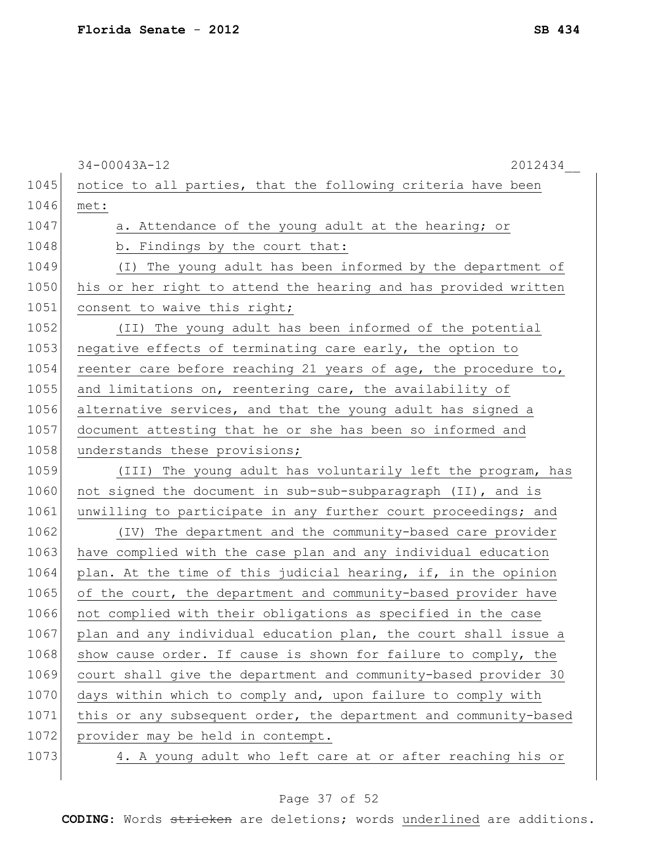34-00043A-12 2012434\_\_ 1045 notice to all parties, that the following criteria have been 1046 met: 1047 a. Attendance of the young adult at the hearing; or 1048 b. Findings by the court that: 1049 (I) The young adult has been informed by the department of 1050 his or her right to attend the hearing and has provided written 1051 consent to waive this right; 1052 (II) The young adult has been informed of the potential 1053 negative effects of terminating care early, the option to 1054 reenter care before reaching 21 years of age, the procedure to, 1055 and limitations on, reentering care, the availability of 1056 alternative services, and that the young adult has signed a 1057 document attesting that he or she has been so informed and 1058 understands these provisions; 1059 (III) The young adult has voluntarily left the program, has 1060 not signed the document in sub-sub-subparagraph (II), and is 1061 unwilling to participate in any further court proceedings; and 1062 (IV) The department and the community-based care provider 1063 have complied with the case plan and any individual education 1064 plan. At the time of this judicial hearing, if, in the opinion 1065 of the court, the department and community-based provider have 1066 not complied with their obligations as specified in the case 1067 plan and any individual education plan, the court shall issue a 1068 show cause order. If cause is shown for failure to comply, the 1069 court shall give the department and community-based provider 30 1070 days within which to comply and, upon failure to comply with 1071 this or any subsequent order, the department and community-based 1072 provider may be held in contempt. 1073 4. A young adult who left care at or after reaching his or

### Page 37 of 52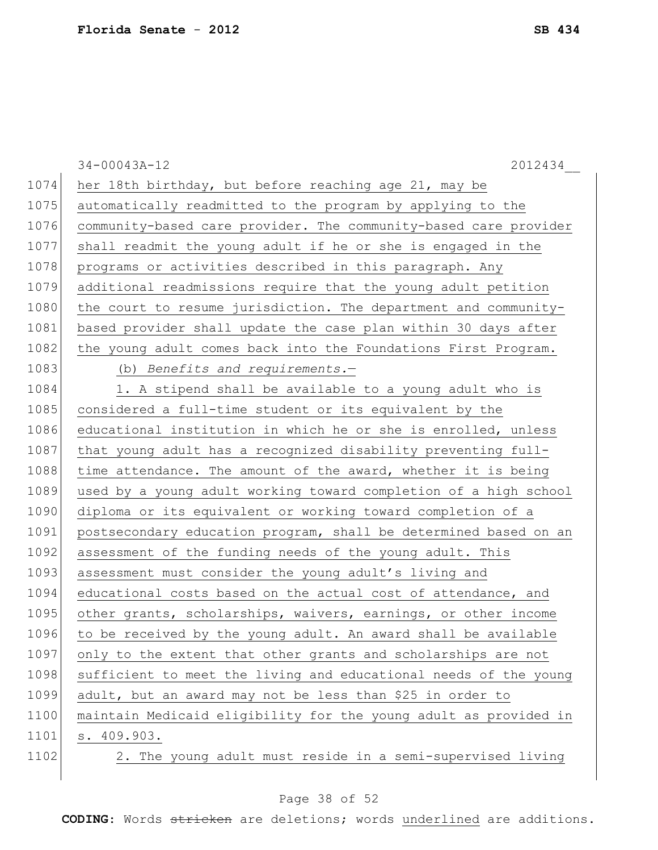$\overline{\phantom{a}}$ 

|      | $34 - 00043A - 12$<br>2012434                                    |
|------|------------------------------------------------------------------|
| 1074 | her 18th birthday, but before reaching age 21, may be            |
| 1075 | automatically readmitted to the program by applying to the       |
| 1076 | community-based care provider. The community-based care provider |
| 1077 | shall readmit the young adult if he or she is engaged in the     |
| 1078 | programs or activities described in this paragraph. Any          |
| 1079 | additional readmissions require that the young adult petition    |
| 1080 | the court to resume jurisdiction. The department and community-  |
| 1081 | based provider shall update the case plan within 30 days after   |
| 1082 | the young adult comes back into the Foundations First Program.   |
| 1083 | (b) Benefits and requirements. $-$                               |
| 1084 | 1. A stipend shall be available to a young adult who is          |
| 1085 | considered a full-time student or its equivalent by the          |
| 1086 | educational institution in which he or she is enrolled, unless   |
| 1087 | that young adult has a recognized disability preventing full-    |
| 1088 | time attendance. The amount of the award, whether it is being    |
| 1089 | used by a young adult working toward completion of a high school |
| 1090 | diploma or its equivalent or working toward completion of a      |
| 1091 | postsecondary education program, shall be determined based on an |
| 1092 | assessment of the funding needs of the young adult. This         |
| 1093 | assessment must consider the young adult's living and            |
| 1094 | educational costs based on the actual cost of attendance, and    |
| 1095 | other grants, scholarships, waivers, earnings, or other income   |
| 1096 | to be received by the young adult. An award shall be available   |
| 1097 | only to the extent that other grants and scholarships are not    |
| 1098 | sufficient to meet the living and educational needs of the young |
| 1099 | adult, but an award may not be less than \$25 in order to        |
| 1100 | maintain Medicaid eligibility for the young adult as provided in |
| 1101 | s. 409.903.                                                      |
| 1102 | 2. The young adult must reside in a semi-supervised living       |

# Page 38 of 52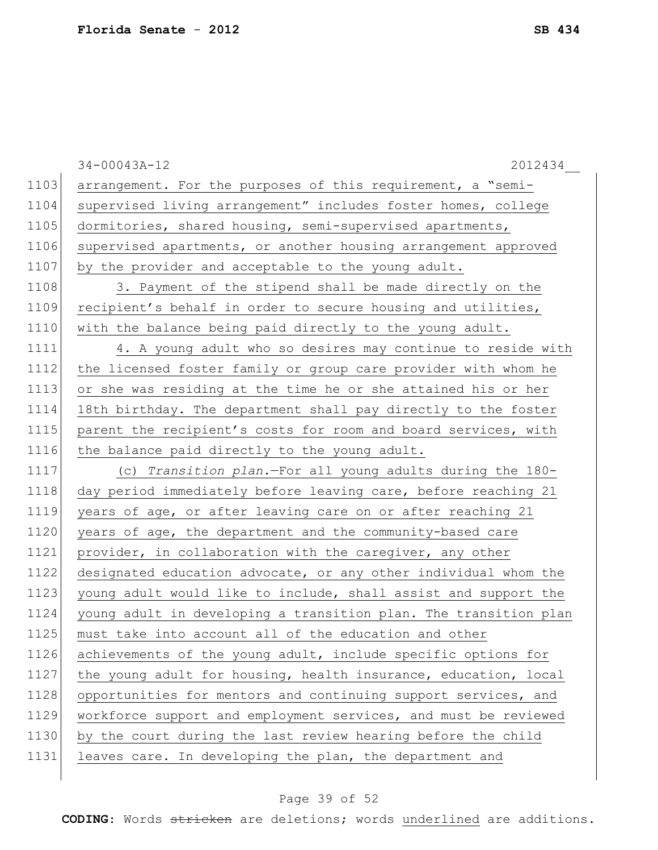|      | $34 - 00043A - 12$<br>2012434                                    |
|------|------------------------------------------------------------------|
| 1103 | arrangement. For the purposes of this requirement, a "semi-      |
| 1104 | supervised living arrangement" includes foster homes, college    |
| 1105 | dormitories, shared housing, semi-supervised apartments,         |
| 1106 | supervised apartments, or another housing arrangement approved   |
| 1107 | by the provider and acceptable to the young adult.               |
| 1108 | 3. Payment of the stipend shall be made directly on the          |
| 1109 | recipient's behalf in order to secure housing and utilities,     |
| 1110 | with the balance being paid directly to the young adult.         |
| 1111 | 4. A young adult who so desires may continue to reside with      |
| 1112 | the licensed foster family or group care provider with whom he   |
| 1113 | or she was residing at the time he or she attained his or her    |
| 1114 | 18th birthday. The department shall pay directly to the foster   |
| 1115 | parent the recipient's costs for room and board services, with   |
| 1116 | the balance paid directly to the young adult.                    |
| 1117 | (c) Transition plan.-For all young adults during the 180-        |
| 1118 | day period immediately before leaving care, before reaching 21   |
| 1119 | years of age, or after leaving care on or after reaching 21      |
| 1120 | years of age, the department and the community-based care        |
| 1121 | provider, in collaboration with the caregiver, any other         |
| 1122 | designated education advocate, or any other individual whom the  |
| 1123 | young adult would like to include, shall assist and support the  |
| 1124 | young adult in developing a transition plan. The transition plan |
| 1125 | must take into account all of the education and other            |
| 1126 | achievements of the young adult, include specific options for    |
| 1127 | the young adult for housing, health insurance, education, local  |
| 1128 | opportunities for mentors and continuing support services, and   |
| 1129 | workforce support and employment services, and must be reviewed  |
| 1130 | by the court during the last review hearing before the child     |
| 1131 | leaves care. In developing the plan, the department and          |
|      |                                                                  |

# Page 39 of 52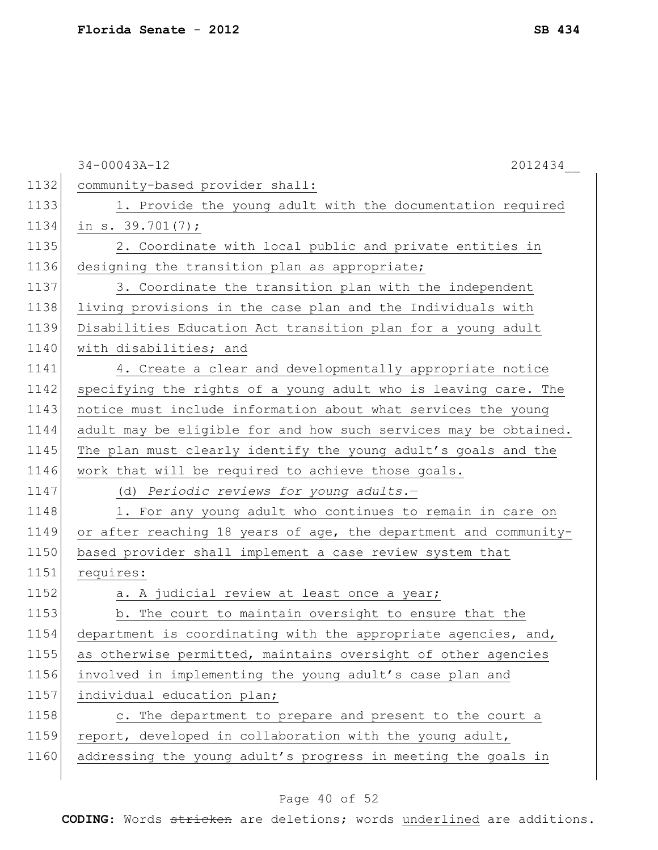|      | $34 - 00043A - 12$<br>2012434                                    |
|------|------------------------------------------------------------------|
| 1132 | community-based provider shall:                                  |
| 1133 | 1. Provide the young adult with the documentation required       |
| 1134 | in s. $39.701(7)$ ;                                              |
| 1135 | 2. Coordinate with local public and private entities in          |
| 1136 | designing the transition plan as appropriate;                    |
| 1137 | 3. Coordinate the transition plan with the independent           |
| 1138 | living provisions in the case plan and the Individuals with      |
| 1139 | Disabilities Education Act transition plan for a young adult     |
| 1140 | with disabilities; and                                           |
| 1141 | 4. Create a clear and developmentally appropriate notice         |
| 1142 | specifying the rights of a young adult who is leaving care. The  |
| 1143 | notice must include information about what services the young    |
| 1144 | adult may be eligible for and how such services may be obtained. |
| 1145 | The plan must clearly identify the young adult's goals and the   |
| 1146 | work that will be required to achieve those goals.               |
| 1147 | (d) Periodic reviews for young adults.-                          |
| 1148 | 1. For any young adult who continues to remain in care on        |
| 1149 | or after reaching 18 years of age, the department and community- |
| 1150 | based provider shall implement a case review system that         |
| 1151 | requires:                                                        |
| 1152 | a. A judicial review at least once a year;                       |
| 1153 | b. The court to maintain oversight to ensure that the            |
| 1154 | department is coordinating with the appropriate agencies, and,   |
| 1155 | as otherwise permitted, maintains oversight of other agencies    |
| 1156 | involved in implementing the young adult's case plan and         |
| 1157 | individual education plan;                                       |
| 1158 | c. The department to prepare and present to the court a          |
| 1159 | report, developed in collaboration with the young adult,         |
| 1160 | addressing the young adult's progress in meeting the goals in    |
|      |                                                                  |

# Page 40 of 52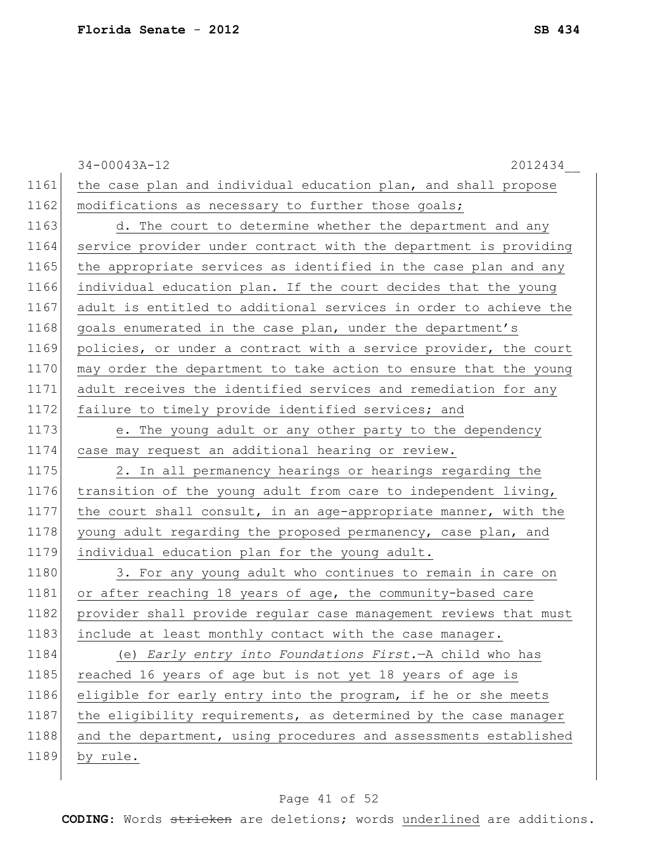|      | $34 - 00043A - 12$<br>2012434                                    |
|------|------------------------------------------------------------------|
| 1161 | the case plan and individual education plan, and shall propose   |
| 1162 | modifications as necessary to further those goals;               |
| 1163 | d. The court to determine whether the department and any         |
| 1164 | service provider under contract with the department is providing |
| 1165 | the appropriate services as identified in the case plan and any  |
| 1166 | individual education plan. If the court decides that the young   |
| 1167 | adult is entitled to additional services in order to achieve the |
| 1168 | goals enumerated in the case plan, under the department's        |
| 1169 | policies, or under a contract with a service provider, the court |
| 1170 | may order the department to take action to ensure that the young |
| 1171 | adult receives the identified services and remediation for any   |
| 1172 | failure to timely provide identified services; and               |
| 1173 | e. The young adult or any other party to the dependency          |
| 1174 | case may request an additional hearing or review.                |
| 1175 | 2. In all permanency hearings or hearings regarding the          |
| 1176 | transition of the young adult from care to independent living,   |
| 1177 | the court shall consult, in an age-appropriate manner, with the  |
| 1178 | young adult regarding the proposed permanency, case plan, and    |
| 1179 | individual education plan for the young adult.                   |
| 1180 | 3. For any young adult who continues to remain in care on        |
| 1181 | or after reaching 18 years of age, the community-based care      |
| 1182 | provider shall provide regular case management reviews that must |
| 1183 | include at least monthly contact with the case manager.          |
| 1184 | (e) Early entry into Foundations First. - A child who has        |
| 1185 | reached 16 years of age but is not yet 18 years of age is        |
| 1186 | eligible for early entry into the program, if he or she meets    |
| 1187 | the eligibility requirements, as determined by the case manager  |
| 1188 | and the department, using procedures and assessments established |
| 1189 | by rule.                                                         |
|      |                                                                  |

# Page 41 of 52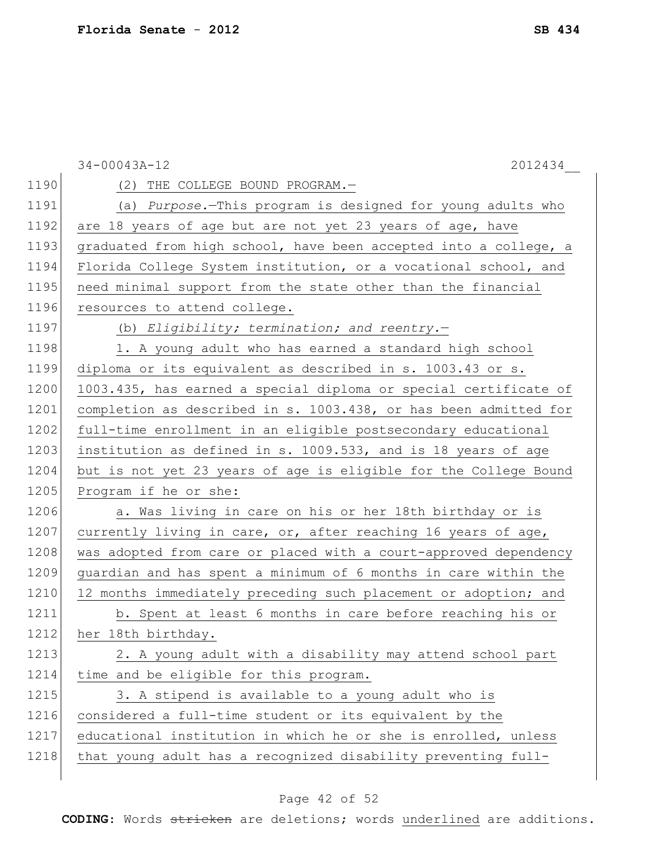|      | $34 - 00043A - 12$<br>2012434                                    |
|------|------------------------------------------------------------------|
| 1190 | (2) THE COLLEGE BOUND PROGRAM.-                                  |
| 1191 | (a) Purpose.-This program is designed for young adults who       |
| 1192 | are 18 years of age but are not yet 23 years of age, have        |
| 1193 | graduated from high school, have been accepted into a college, a |
| 1194 | Florida College System institution, or a vocational school, and  |
| 1195 | need minimal support from the state other than the financial     |
| 1196 | resources to attend college.                                     |
| 1197 | (b) Eligibility; termination; and reentry.-                      |
| 1198 | 1. A young adult who has earned a standard high school           |
| 1199 | diploma or its equivalent as described in s. 1003.43 or s.       |
| 1200 | 1003.435, has earned a special diploma or special certificate of |
| 1201 | completion as described in s. 1003.438, or has been admitted for |
| 1202 | full-time enrollment in an eligible postsecondary educational    |
| 1203 | institution as defined in s. 1009.533, and is 18 years of age    |
| 1204 | but is not yet 23 years of age is eligible for the College Bound |
| 1205 | Program if he or she:                                            |
| 1206 | a. Was living in care on his or her 18th birthday or is          |
| 1207 | currently living in care, or, after reaching 16 years of age,    |
| 1208 | was adopted from care or placed with a court-approved dependency |
| 1209 | guardian and has spent a minimum of 6 months in care within the  |
| 1210 | 12 months immediately preceding such placement or adoption; and  |
| 1211 | b. Spent at least 6 months in care before reaching his or        |
| 1212 | her 18th birthday.                                               |
| 1213 | 2. A young adult with a disability may attend school part        |
| 1214 | time and be eligible for this program.                           |
| 1215 | 3. A stipend is available to a young adult who is                |
| 1216 | considered a full-time student or its equivalent by the          |
| 1217 | educational institution in which he or she is enrolled, unless   |
| 1218 | that young adult has a recognized disability preventing full-    |
|      |                                                                  |

# Page 42 of 52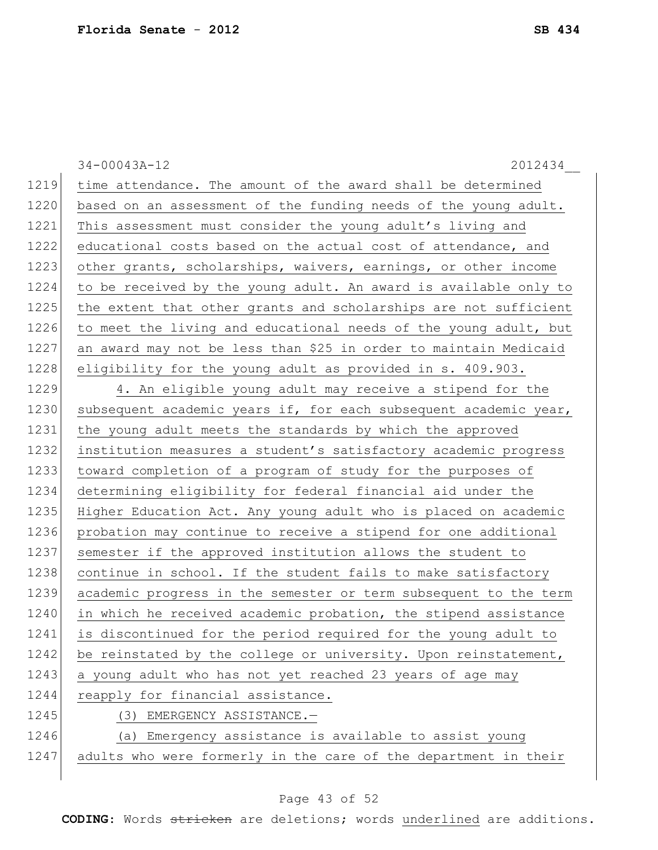34-00043A-12 2012434\_\_ 1219 time attendance. The amount of the award shall be determined 1220 based on an assessment of the funding needs of the young adult. 1221 This assessment must consider the young adult's living and 1222 educational costs based on the actual cost of attendance, and 1223 other grants, scholarships, waivers, earnings, or other income 1224 to be received by the young adult. An award is available only to 1225 the extent that other grants and scholarships are not sufficient 1226 to meet the living and educational needs of the young adult, but 1227 an award may not be less than \$25 in order to maintain Medicaid 1228 eligibility for the young adult as provided in s. 409.903. 1229 4. An eligible young adult may receive a stipend for the 1230 subsequent academic years if, for each subsequent academic year, 1231 the young adult meets the standards by which the approved 1232 institution measures a student's satisfactory academic progress 1233 toward completion of a program of study for the purposes of 1234 determining eligibility for federal financial aid under the 1235 Higher Education Act. Any young adult who is placed on academic 1236 probation may continue to receive a stipend for one additional 1237 semester if the approved institution allows the student to 1238 continue in school. If the student fails to make satisfactory 1239 academic progress in the semester or term subsequent to the term 1240 in which he received academic probation, the stipend assistance 1241 is discontinued for the period required for the young adult to 1242 be reinstated by the college or university. Upon reinstatement, 1243 a young adult who has not yet reached 23 years of age may 1244 reapply for financial assistance. 1245 (3) EMERGENCY ASSISTANCE. 1246 (a) Emergency assistance is available to assist young 1247 adults who were formerly in the care of the department in their

### Page 43 of 52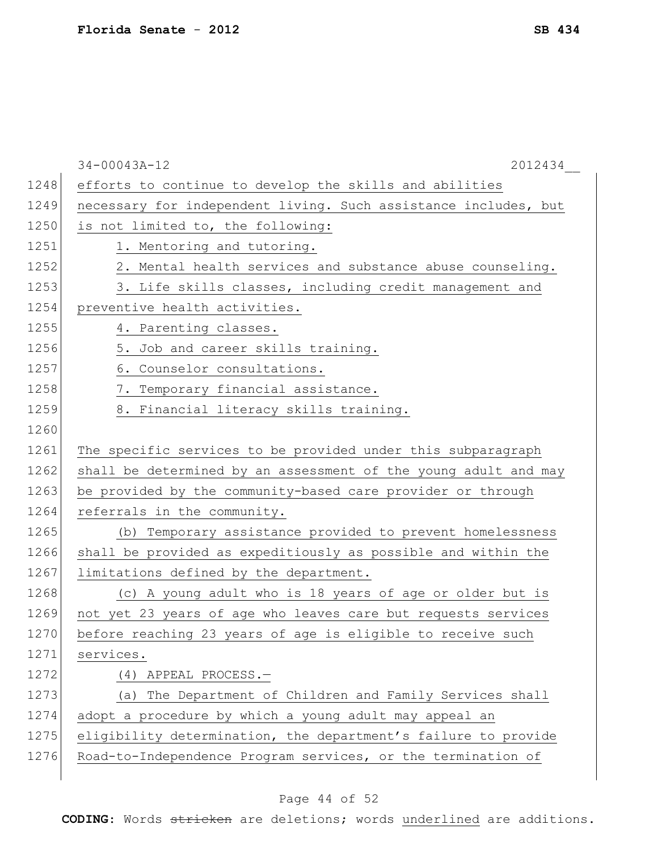|      | $34 - 00043A - 12$<br>2012434                                   |
|------|-----------------------------------------------------------------|
| 1248 | efforts to continue to develop the skills and abilities         |
| 1249 | necessary for independent living. Such assistance includes, but |
| 1250 | is not limited to, the following:                               |
| 1251 | 1. Mentoring and tutoring.                                      |
| 1252 | 2. Mental health services and substance abuse counseling.       |
| 1253 | 3. Life skills classes, including credit management and         |
| 1254 | preventive health activities.                                   |
| 1255 | 4. Parenting classes.                                           |
| 1256 | 5. Job and career skills training.                              |
| 1257 | 6. Counselor consultations.                                     |
| 1258 | 7. Temporary financial assistance.                              |
| 1259 | 8. Financial literacy skills training.                          |
| 1260 |                                                                 |
| 1261 | The specific services to be provided under this subparagraph    |
| 1262 | shall be determined by an assessment of the young adult and may |
| 1263 | be provided by the community-based care provider or through     |
| 1264 | referrals in the community.                                     |
| 1265 | (b) Temporary assistance provided to prevent homelessness       |
| 1266 | shall be provided as expeditiously as possible and within the   |
| 1267 | limitations defined by the department.                          |
| 1268 | (c) A young adult who is 18 years of age or older but is        |
| 1269 | not yet 23 years of age who leaves care but requests services   |
| 1270 | before reaching 23 years of age is eligible to receive such     |
| 1271 | services.                                                       |
| 1272 | $(4)$ APPEAL PROCESS. -                                         |
| 1273 | (a) The Department of Children and Family Services shall        |
| 1274 | adopt a procedure by which a young adult may appeal an          |
| 1275 | eligibility determination, the department's failure to provide  |
| 1276 | Road-to-Independence Program services, or the termination of    |
|      |                                                                 |

# Page 44 of 52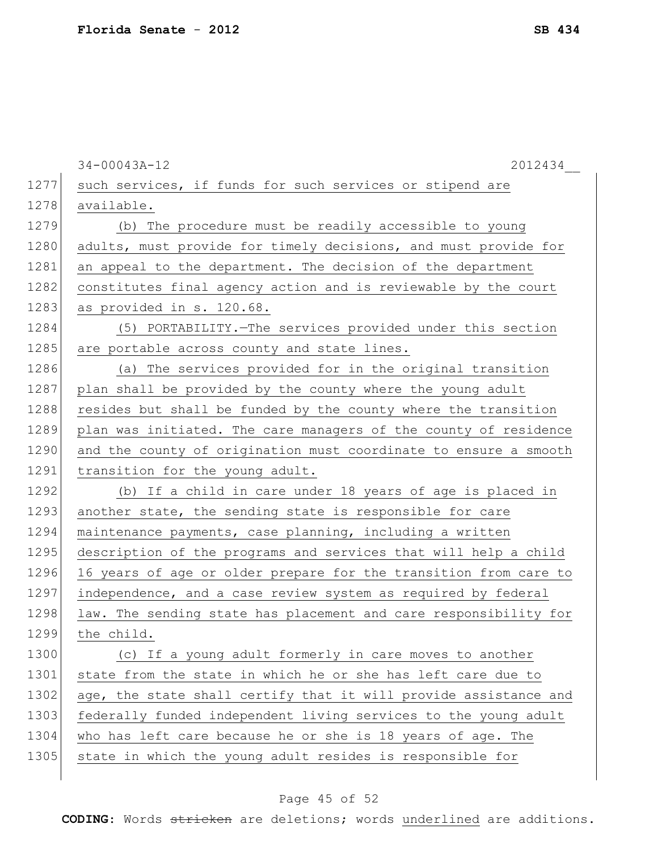|      | $34 - 00043A - 12$<br>2012434                                    |
|------|------------------------------------------------------------------|
| 1277 | such services, if funds for such services or stipend are         |
| 1278 | available.                                                       |
| 1279 | (b) The procedure must be readily accessible to young            |
| 1280 | adults, must provide for timely decisions, and must provide for  |
| 1281 | an appeal to the department. The decision of the department      |
| 1282 | constitutes final agency action and is reviewable by the court   |
| 1283 | as provided in s. 120.68.                                        |
| 1284 | (5) PORTABILITY. The services provided under this section        |
| 1285 | are portable across county and state lines.                      |
| 1286 | (a) The services provided for in the original transition         |
| 1287 | plan shall be provided by the county where the young adult       |
| 1288 | resides but shall be funded by the county where the transition   |
| 1289 | plan was initiated. The care managers of the county of residence |
| 1290 | and the county of origination must coordinate to ensure a smooth |
| 1291 | transition for the young adult.                                  |
| 1292 | (b) If a child in care under 18 years of age is placed in        |
| 1293 | another state, the sending state is responsible for care         |
| 1294 | maintenance payments, case planning, including a written         |
| 1295 | description of the programs and services that will help a child  |
| 1296 | 16 years of age or older prepare for the transition from care to |
| 1297 | independence, and a case review system as required by federal    |
| 1298 | law. The sending state has placement and care responsibility for |
| 1299 | the child.                                                       |
| 1300 | (c) If a young adult formerly in care moves to another           |
| 1301 | state from the state in which he or she has left care due to     |
| 1302 | age, the state shall certify that it will provide assistance and |
| 1303 | federally funded independent living services to the young adult  |
| 1304 | who has left care because he or she is 18 years of age. The      |
| 1305 | state in which the young adult resides is responsible for        |
|      |                                                                  |

# Page 45 of 52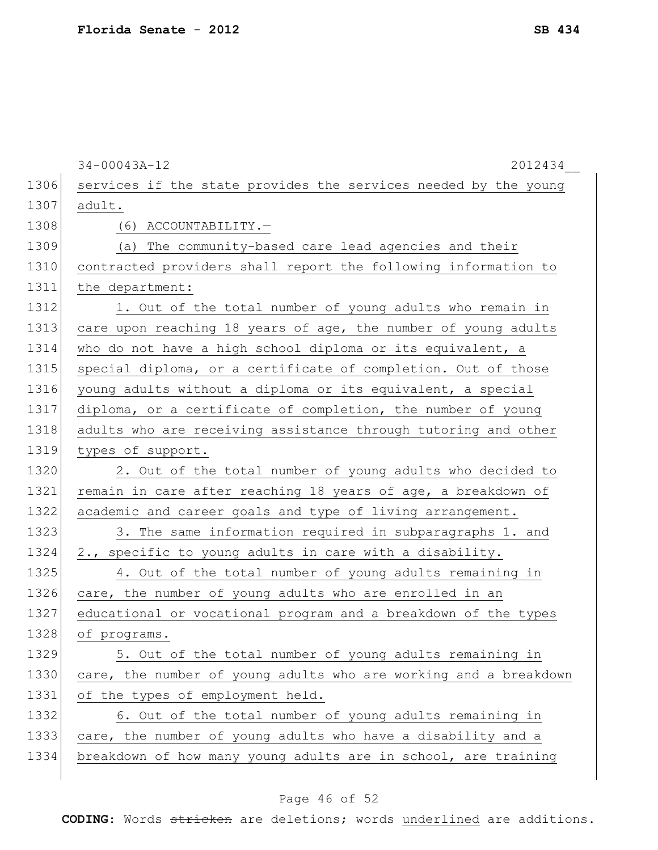|      | $34 - 00043A - 12$<br>2012434                                    |
|------|------------------------------------------------------------------|
| 1306 | services if the state provides the services needed by the young  |
| 1307 | adult.                                                           |
| 1308 | (6) ACCOUNTABILITY.-                                             |
| 1309 | (a) The community-based care lead agencies and their             |
| 1310 | contracted providers shall report the following information to   |
| 1311 | the department:                                                  |
| 1312 | 1. Out of the total number of young adults who remain in         |
| 1313 | care upon reaching 18 years of age, the number of young adults   |
| 1314 | who do not have a high school diploma or its equivalent, a       |
| 1315 | special diploma, or a certificate of completion. Out of those    |
| 1316 | young adults without a diploma or its equivalent, a special      |
| 1317 | diploma, or a certificate of completion, the number of young     |
| 1318 | adults who are receiving assistance through tutoring and other   |
| 1319 | types of support.                                                |
| 1320 | 2. Out of the total number of young adults who decided to        |
| 1321 | remain in care after reaching 18 years of age, a breakdown of    |
| 1322 | academic and career goals and type of living arrangement.        |
| 1323 | 3. The same information required in subparagraphs 1. and         |
| 1324 | 2., specific to young adults in care with a disability.          |
| 1325 | 4. Out of the total number of young adults remaining in          |
| 1326 | care, the number of young adults who are enrolled in an          |
| 1327 | educational or vocational program and a breakdown of the types   |
| 1328 | of programs.                                                     |
| 1329 | 5. Out of the total number of young adults remaining in          |
| 1330 | care, the number of young adults who are working and a breakdown |
| 1331 | of the types of employment held.                                 |
| 1332 | 6. Out of the total number of young adults remaining in          |
| 1333 | care, the number of young adults who have a disability and a     |
| 1334 | breakdown of how many young adults are in school, are training   |
|      |                                                                  |

# Page 46 of 52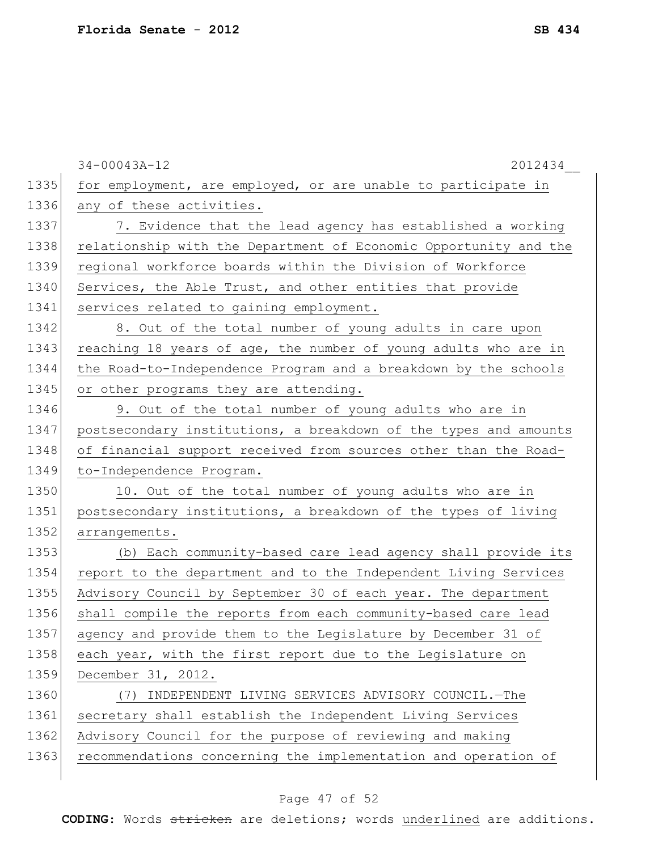|      | $34 - 00043A - 12$<br>2012434                                    |
|------|------------------------------------------------------------------|
| 1335 | for employment, are employed, or are unable to participate in    |
| 1336 | any of these activities.                                         |
| 1337 | 7. Evidence that the lead agency has established a working       |
| 1338 | relationship with the Department of Economic Opportunity and the |
| 1339 | regional workforce boards within the Division of Workforce       |
| 1340 | Services, the Able Trust, and other entities that provide        |
| 1341 | services related to gaining employment.                          |
| 1342 | 8. Out of the total number of young adults in care upon          |
| 1343 | reaching 18 years of age, the number of young adults who are in  |
| 1344 | the Road-to-Independence Program and a breakdown by the schools  |
| 1345 | or other programs they are attending.                            |
| 1346 | 9. Out of the total number of young adults who are in            |
| 1347 | postsecondary institutions, a breakdown of the types and amounts |
| 1348 | of financial support received from sources other than the Road-  |
| 1349 | to-Independence Program.                                         |
| 1350 | 10. Out of the total number of young adults who are in           |
| 1351 | postsecondary institutions, a breakdown of the types of living   |
| 1352 | arrangements.                                                    |
| 1353 | (b) Each community-based care lead agency shall provide its      |
| 1354 | report to the department and to the Independent Living Services  |
| 1355 | Advisory Council by September 30 of each year. The department    |
| 1356 | shall compile the reports from each community-based care lead    |
| 1357 | agency and provide them to the Legislature by December 31 of     |
| 1358 | each year, with the first report due to the Legislature on       |
| 1359 | December 31, 2012.                                               |
| 1360 | INDEPENDENT LIVING SERVICES ADVISORY COUNCIL. - The<br>(7)       |
| 1361 | secretary shall establish the Independent Living Services        |
| 1362 | Advisory Council for the purpose of reviewing and making         |
| 1363 | recommendations concerning the implementation and operation of   |
|      |                                                                  |

# Page 47 of 52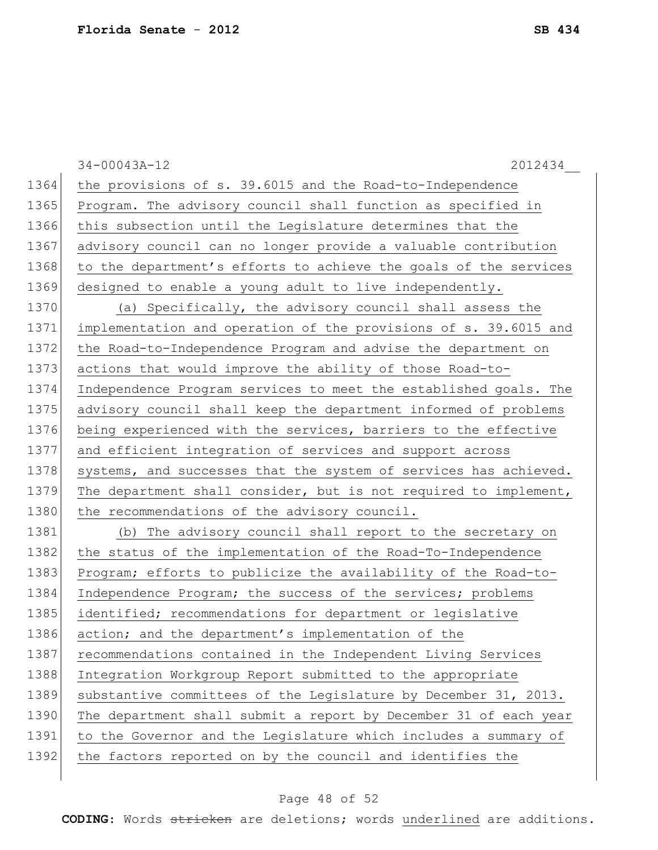34-00043A-12 2012434\_\_ 1364 the provisions of s. 39.6015 and the Road-to-Independence 1365 Program. The advisory council shall function as specified in 1366 this subsection until the Legislature determines that the 1367 advisory council can no longer provide a valuable contribution 1368 to the department's efforts to achieve the goals of the services 1369 designed to enable a young adult to live independently. 1370 (a) Specifically, the advisory council shall assess the 1371 implementation and operation of the provisions of s. 39.6015 and 1372 the Road-to-Independence Program and advise the department on 1373 actions that would improve the ability of those Road-to-1374 Independence Program services to meet the established goals. The 1375 advisory council shall keep the department informed of problems 1376 being experienced with the services, barriers to the effective 1377 and efficient integration of services and support across 1378 systems, and successes that the system of services has achieved. 1379 The department shall consider, but is not required to implement, 1380 the recommendations of the advisory council. 1381 (b) The advisory council shall report to the secretary on 1382 the status of the implementation of the Road-To-Independence 1383 Program; efforts to publicize the availability of the Road-to-1384 Independence Program; the success of the services; problems 1385 identified; recommendations for department or legislative 1386 action; and the department's implementation of the 1387 recommendations contained in the Independent Living Services 1388 Integration Workgroup Report submitted to the appropriate 1389 substantive committees of the Legislature by December 31, 2013. 1390 The department shall submit a report by December 31 of each year 1391 to the Governor and the Legislature which includes a summary of

1392 the factors reported on by the council and identifies the

#### Page 48 of 52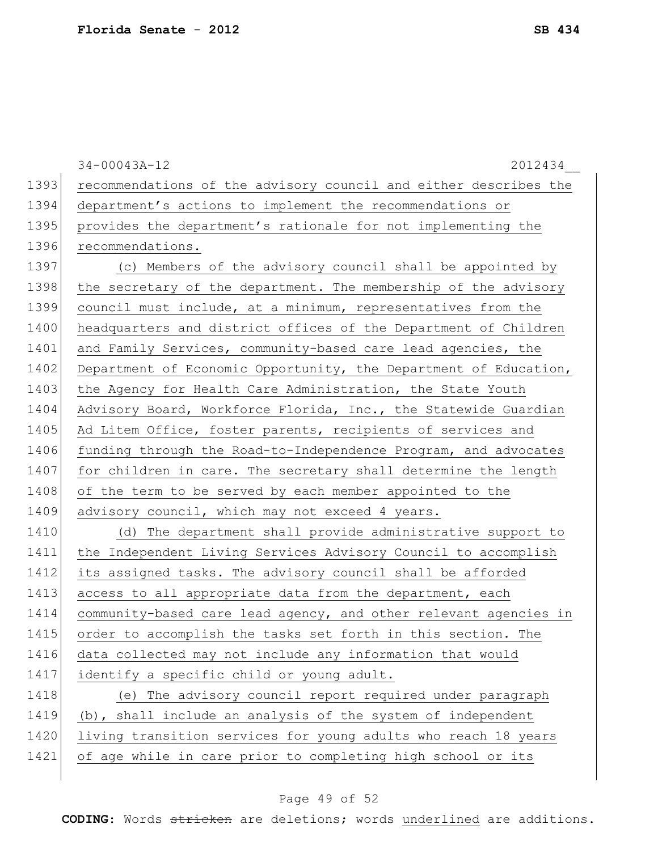34-00043A-12 2012434\_\_ 1393 recommendations of the advisory council and either describes the 1394 department's actions to implement the recommendations or 1395 provides the department's rationale for not implementing the 1396 recommendations. 1397 (c) Members of the advisory council shall be appointed by 1398 | the secretary of the department. The membership of the advisory 1399 council must include, at a minimum, representatives from the 1400 headquarters and district offices of the Department of Children 1401 and Family Services, community-based care lead agencies, the 1402 Department of Economic Opportunity, the Department of Education, 1403 the Agency for Health Care Administration, the State Youth 1404 Advisory Board, Workforce Florida, Inc., the Statewide Guardian 1405 Ad Litem Office, foster parents, recipients of services and 1406 funding through the Road-to-Independence Program, and advocates 1407 for children in care. The secretary shall determine the length 1408 of the term to be served by each member appointed to the 1409 advisory council, which may not exceed 4 years. 1410 (d) The department shall provide administrative support to 1411 the Independent Living Services Advisory Council to accomplish 1412 its assigned tasks. The advisory council shall be afforded 1413 access to all appropriate data from the department, each 1414 community-based care lead agency, and other relevant agencies in 1415 order to accomplish the tasks set forth in this section. The 1416 data collected may not include any information that would 1417 identify a specific child or young adult. 1418 (e) The advisory council report required under paragraph 1419 (b), shall include an analysis of the system of independent 1420 living transition services for young adults who reach 18 years 1421 of age while in care prior to completing high school or its

#### Page 49 of 52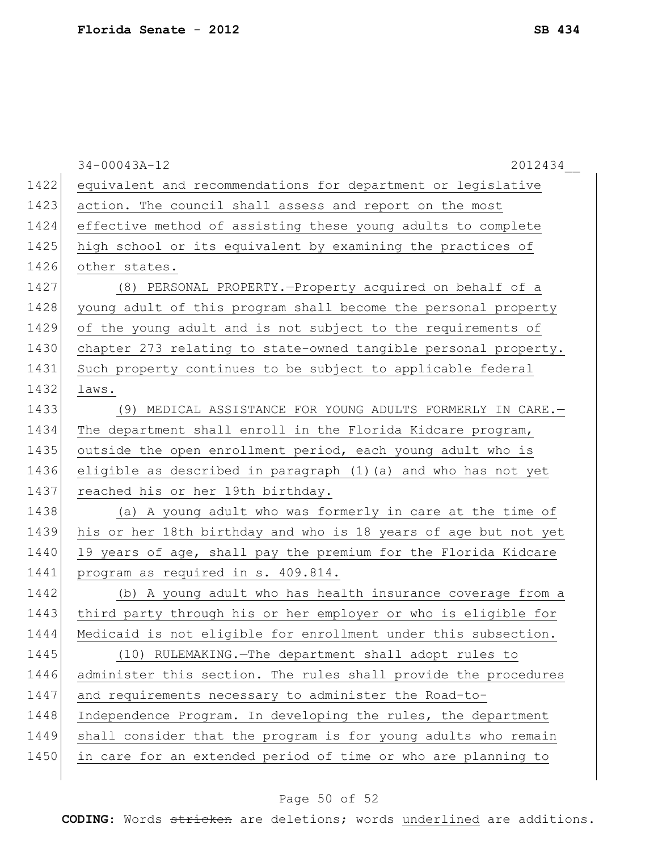|      | $34 - 00043A - 12$<br>2012434                                   |
|------|-----------------------------------------------------------------|
| 1422 | equivalent and recommendations for department or legislative    |
| 1423 | action. The council shall assess and report on the most         |
| 1424 | effective method of assisting these young adults to complete    |
| 1425 | high school or its equivalent by examining the practices of     |
| 1426 | other states.                                                   |
| 1427 | (8) PERSONAL PROPERTY. - Property acquired on behalf of a       |
| 1428 | young adult of this program shall become the personal property  |
| 1429 | of the young adult and is not subject to the requirements of    |
| 1430 | chapter 273 relating to state-owned tangible personal property. |
| 1431 | Such property continues to be subject to applicable federal     |
| 1432 | laws.                                                           |
| 1433 | (9) MEDICAL ASSISTANCE FOR YOUNG ADULTS FORMERLY IN CARE.-      |
| 1434 | The department shall enroll in the Florida Kidcare program,     |
| 1435 | outside the open enrollment period, each young adult who is     |
| 1436 | eligible as described in paragraph (1) (a) and who has not yet  |
| 1437 | reached his or her 19th birthday.                               |
| 1438 | (a) A young adult who was formerly in care at the time of       |
| 1439 | his or her 18th birthday and who is 18 years of age but not yet |
| 1440 | 19 years of age, shall pay the premium for the Florida Kidcare  |
| 1441 | program as required in s. 409.814.                              |
| 1442 | (b) A young adult who has health insurance coverage from a      |
| 1443 | third party through his or her employer or who is eligible for  |
| 1444 | Medicaid is not eligible for enrollment under this subsection.  |
| 1445 | (10) RULEMAKING. The department shall adopt rules to            |
| 1446 | administer this section. The rules shall provide the procedures |
| 1447 | and requirements necessary to administer the Road-to-           |
| 1448 | Independence Program. In developing the rules, the department   |
| 1449 | shall consider that the program is for young adults who remain  |
| 1450 | in care for an extended period of time or who are planning to   |
|      |                                                                 |

# Page 50 of 52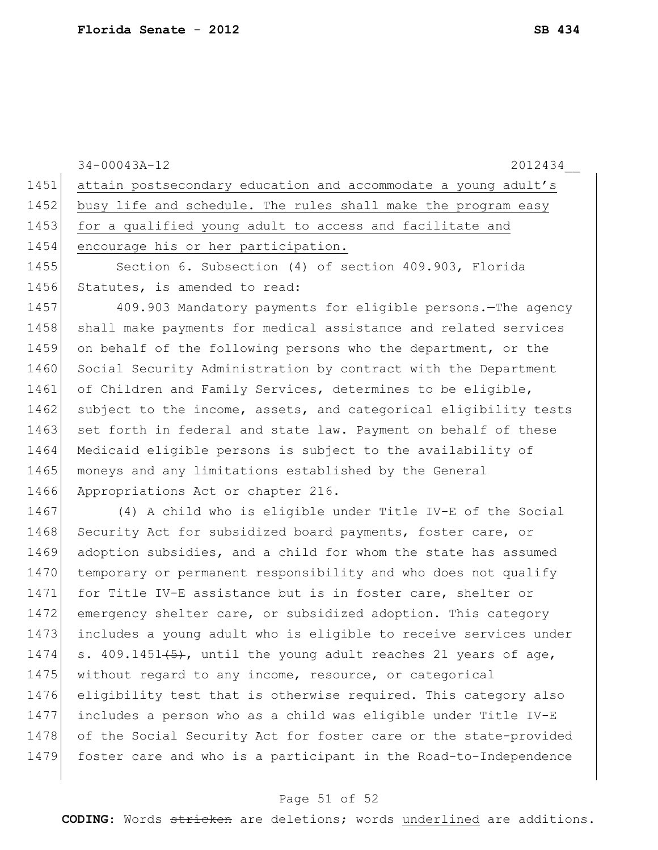|      | 2012434<br>$34 - 00043A - 12$                                    |
|------|------------------------------------------------------------------|
| 1451 | attain postsecondary education and accommodate a young adult's   |
| 1452 | busy life and schedule. The rules shall make the program easy    |
| 1453 | for a qualified young adult to access and facilitate and         |
| 1454 | encourage his or her participation.                              |
| 1455 | Section 6. Subsection (4) of section 409.903, Florida            |
| 1456 | Statutes, is amended to read:                                    |
| 1457 | 409.903 Mandatory payments for eligible persons. The agency      |
| 1458 | shall make payments for medical assistance and related services  |
| 1459 | on behalf of the following persons who the department, or the    |
| 1460 | Social Security Administration by contract with the Department   |
| 1461 | of Children and Family Services, determines to be eligible,      |
| 1462 | subject to the income, assets, and categorical eligibility tests |
| 1463 | set forth in federal and state law. Payment on behalf of these   |
| 1464 | Medicaid eligible persons is subject to the availability of      |
| 1465 | moneys and any limitations established by the General            |
| 1466 | Appropriations Act or chapter 216.                               |
| 1467 | (4) A child who is eligible under Title IV-E of the Social       |
| 1468 | Security Act for subsidized board payments, foster care, or      |
| 1469 | adoption subsidies, and a child for whom the state has assumed   |
| 1470 | temporary or permanent responsibility and who does not qualify   |
| 1471 | for Title IV-E assistance but is in foster care, shelter or      |
| 1472 | emergency shelter care, or subsidized adoption. This category    |
| 1473 | includes a young adult who is eligible to receive services under |
| 1474 | s. 409.1451(5), until the young adult reaches 21 years of age,   |
| 1475 | without regard to any income, resource, or categorical           |
| 1476 | eligibility test that is otherwise required. This category also  |
| 1477 | includes a person who as a child was eligible under Title IV-E   |
| 1478 | of the Social Security Act for foster care or the state-provided |
| 1479 | foster care and who is a participant in the Road-to-Independence |
|      |                                                                  |

# Page 51 of 52